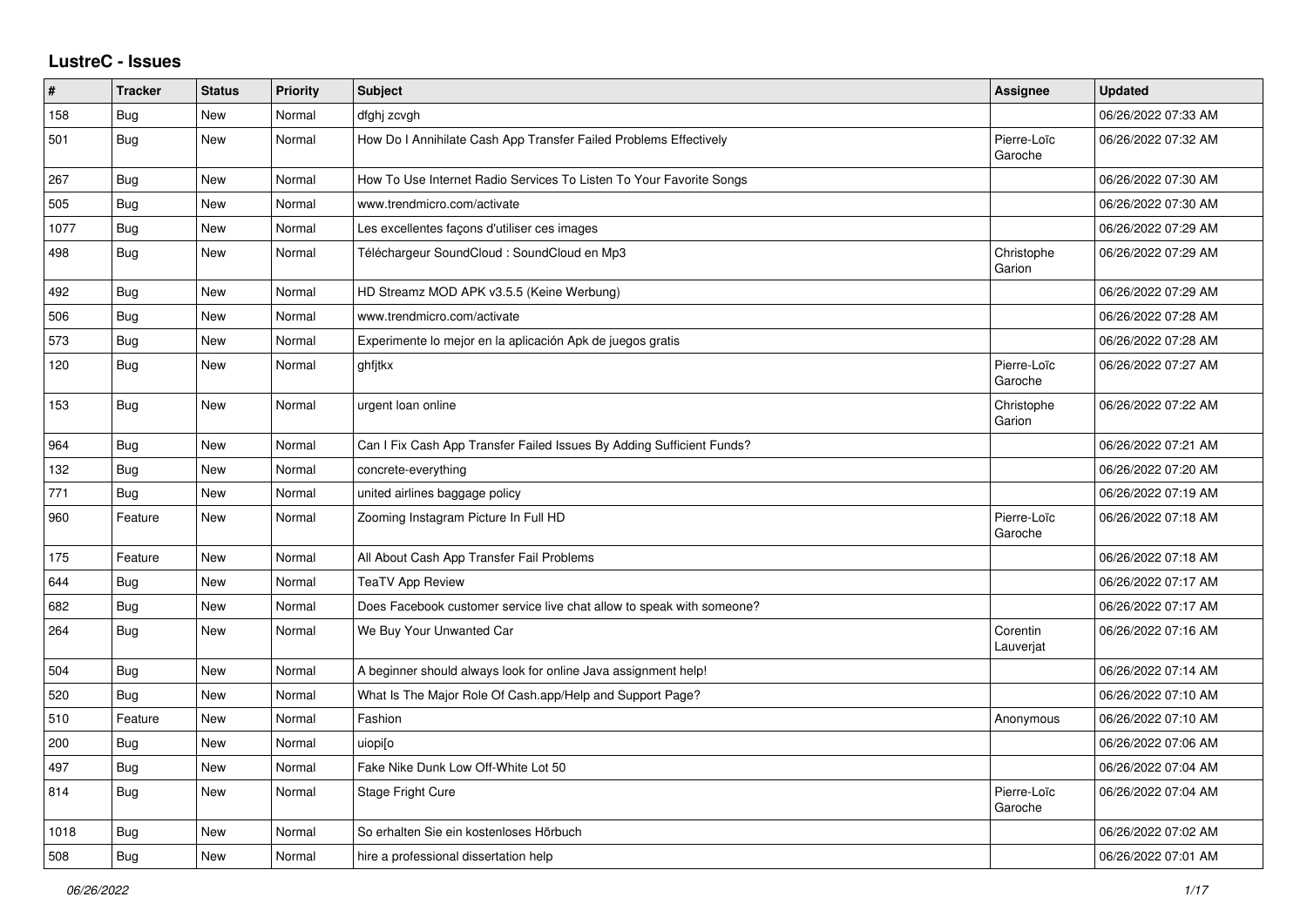## **LustreC - Issues**

| #    | <b>Tracker</b> | <b>Status</b> | Priority | <b>Subject</b>                                                        | <b>Assignee</b>        | <b>Updated</b>      |
|------|----------------|---------------|----------|-----------------------------------------------------------------------|------------------------|---------------------|
| 158  | <b>Bug</b>     | New           | Normal   | dfghj zcvgh                                                           |                        | 06/26/2022 07:33 AM |
| 501  | Bug            | New           | Normal   | How Do I Annihilate Cash App Transfer Failed Problems Effectively     | Pierre-Loïc<br>Garoche | 06/26/2022 07:32 AM |
| 267  | <b>Bug</b>     | New           | Normal   | How To Use Internet Radio Services To Listen To Your Favorite Songs   |                        | 06/26/2022 07:30 AM |
| 505  | Bug            | New           | Normal   | www.trendmicro.com/activate                                           |                        | 06/26/2022 07:30 AM |
| 1077 | Bug            | New           | Normal   | Les excellentes façons d'utiliser ces images                          |                        | 06/26/2022 07:29 AM |
| 498  | <b>Bug</b>     | New           | Normal   | Téléchargeur SoundCloud : SoundCloud en Mp3                           | Christophe<br>Garion   | 06/26/2022 07:29 AM |
| 492  | Bug            | New           | Normal   | HD Streamz MOD APK v3.5.5 (Keine Werbung)                             |                        | 06/26/2022 07:29 AM |
| 506  | Bug            | New           | Normal   | www.trendmicro.com/activate                                           |                        | 06/26/2022 07:28 AM |
| 573  | Bug            | New           | Normal   | Experimente lo mejor en la aplicación Apk de juegos gratis            |                        | 06/26/2022 07:28 AM |
| 120  | Bug            | New           | Normal   | ghfitkx                                                               | Pierre-Loïc<br>Garoche | 06/26/2022 07:27 AM |
| 153  | <b>Bug</b>     | New           | Normal   | urgent loan online                                                    | Christophe<br>Garion   | 06/26/2022 07:22 AM |
| 964  | Bug            | New           | Normal   | Can I Fix Cash App Transfer Failed Issues By Adding Sufficient Funds? |                        | 06/26/2022 07:21 AM |
| 132  | <b>Bug</b>     | New           | Normal   | concrete-everything                                                   |                        | 06/26/2022 07:20 AM |
| 771  | <b>Bug</b>     | New           | Normal   | united airlines baggage policy                                        |                        | 06/26/2022 07:19 AM |
| 960  | Feature        | New           | Normal   | Zooming Instagram Picture In Full HD                                  | Pierre-Loïc<br>Garoche | 06/26/2022 07:18 AM |
| 175  | Feature        | New           | Normal   | All About Cash App Transfer Fail Problems                             |                        | 06/26/2022 07:18 AM |
| 644  | Bug            | New           | Normal   | <b>TeaTV App Review</b>                                               |                        | 06/26/2022 07:17 AM |
| 682  | Bug            | New           | Normal   | Does Facebook customer service live chat allow to speak with someone? |                        | 06/26/2022 07:17 AM |
| 264  | <b>Bug</b>     | New           | Normal   | We Buy Your Unwanted Car                                              | Corentin<br>Lauverjat  | 06/26/2022 07:16 AM |
| 504  | Bug            | New           | Normal   | A beginner should always look for online Java assignment help!        |                        | 06/26/2022 07:14 AM |
| 520  | <b>Bug</b>     | New           | Normal   | What Is The Major Role Of Cash.app/Help and Support Page?             |                        | 06/26/2022 07:10 AM |
| 510  | Feature        | New           | Normal   | Fashion                                                               | Anonymous              | 06/26/2022 07:10 AM |
| 200  | Bug            | New           | Normal   | uiopi[o                                                               |                        | 06/26/2022 07:06 AM |
| 497  | <b>Bug</b>     | New           | Normal   | Fake Nike Dunk Low Off-White Lot 50                                   |                        | 06/26/2022 07:04 AM |
| 814  | <b>Bug</b>     | <b>New</b>    | Normal   | Stage Fright Cure                                                     | Pierre-Loïc<br>Garoche | 06/26/2022 07:04 AM |
| 1018 | <b>Bug</b>     | New           | Normal   | So erhalten Sie ein kostenloses Hörbuch                               |                        | 06/26/2022 07:02 AM |
| 508  | Bug            | New           | Normal   | hire a professional dissertation help                                 |                        | 06/26/2022 07:01 AM |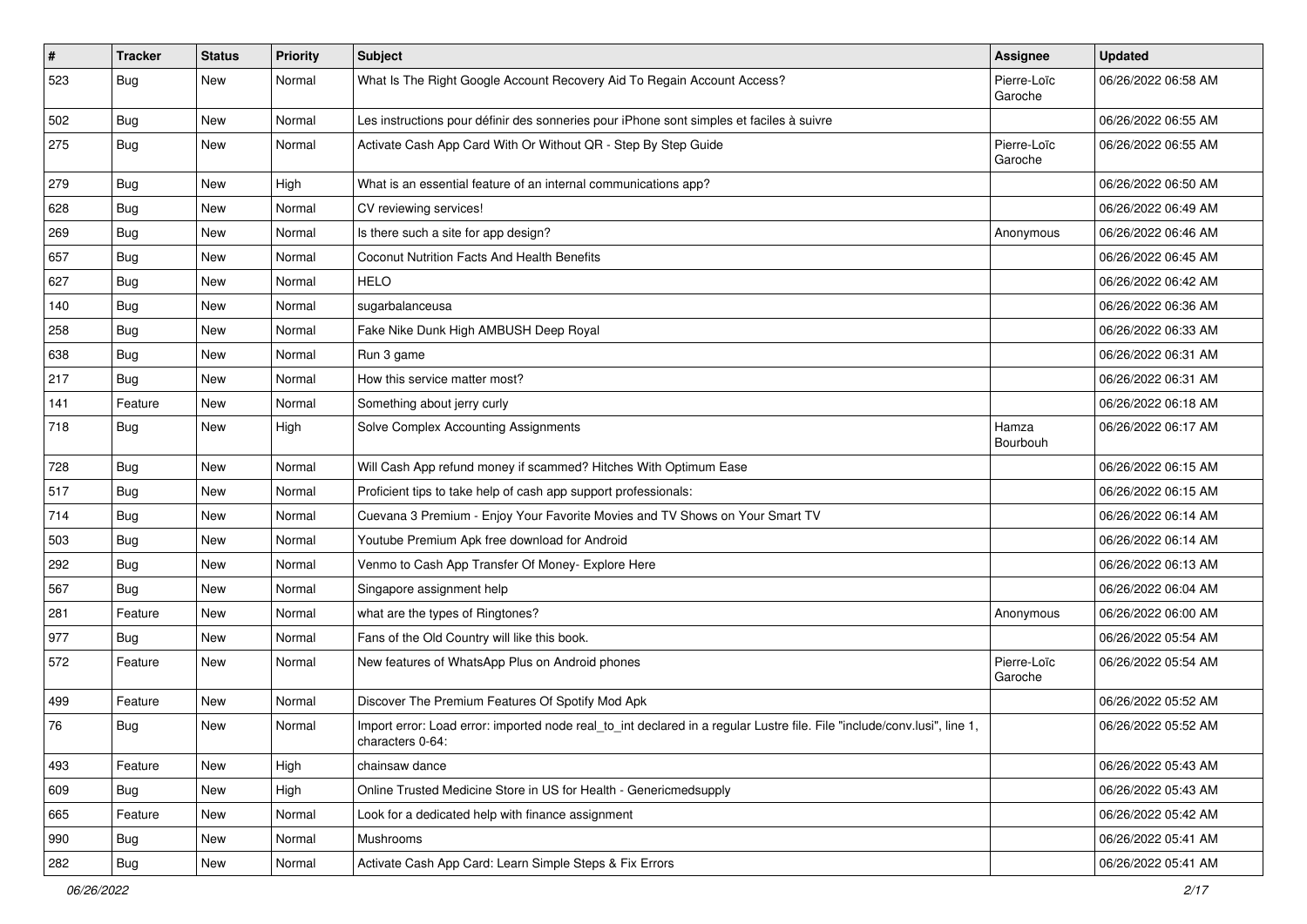| #   | <b>Tracker</b> | <b>Status</b> | <b>Priority</b> | Subject                                                                                                                                      | <b>Assignee</b>        | <b>Updated</b>      |
|-----|----------------|---------------|-----------------|----------------------------------------------------------------------------------------------------------------------------------------------|------------------------|---------------------|
| 523 | <b>Bug</b>     | New           | Normal          | What Is The Right Google Account Recovery Aid To Regain Account Access?                                                                      | Pierre-Loïc<br>Garoche | 06/26/2022 06:58 AM |
| 502 | Bug            | <b>New</b>    | Normal          | Les instructions pour définir des sonneries pour iPhone sont simples et faciles à suivre                                                     |                        | 06/26/2022 06:55 AM |
| 275 | <b>Bug</b>     | New           | Normal          | Activate Cash App Card With Or Without QR - Step By Step Guide                                                                               | Pierre-Loïc<br>Garoche | 06/26/2022 06:55 AM |
| 279 | Bug            | New           | High            | What is an essential feature of an internal communications app?                                                                              |                        | 06/26/2022 06:50 AM |
| 628 | <b>Bug</b>     | New           | Normal          | CV reviewing services!                                                                                                                       |                        | 06/26/2022 06:49 AM |
| 269 | Bug            | New           | Normal          | Is there such a site for app design?                                                                                                         | Anonymous              | 06/26/2022 06:46 AM |
| 657 | <b>Bug</b>     | New           | Normal          | Coconut Nutrition Facts And Health Benefits                                                                                                  |                        | 06/26/2022 06:45 AM |
| 627 | Bug            | New           | Normal          | <b>HELO</b>                                                                                                                                  |                        | 06/26/2022 06:42 AM |
| 140 | Bug            | <b>New</b>    | Normal          | sugarbalanceusa                                                                                                                              |                        | 06/26/2022 06:36 AM |
| 258 | <b>Bug</b>     | New           | Normal          | Fake Nike Dunk High AMBUSH Deep Royal                                                                                                        |                        | 06/26/2022 06:33 AM |
| 638 | Bug            | New           | Normal          | Run 3 game                                                                                                                                   |                        | 06/26/2022 06:31 AM |
| 217 | <b>Bug</b>     | New           | Normal          | How this service matter most?                                                                                                                |                        | 06/26/2022 06:31 AM |
| 141 | Feature        | New           | Normal          | Something about jerry curly                                                                                                                  |                        | 06/26/2022 06:18 AM |
| 718 | Bug            | New           | High            | Solve Complex Accounting Assignments                                                                                                         | Hamza<br>Bourbouh      | 06/26/2022 06:17 AM |
| 728 | <b>Bug</b>     | New           | Normal          | Will Cash App refund money if scammed? Hitches With Optimum Ease                                                                             |                        | 06/26/2022 06:15 AM |
| 517 | Bug            | New           | Normal          | Proficient tips to take help of cash app support professionals:                                                                              |                        | 06/26/2022 06:15 AM |
| 714 | <b>Bug</b>     | New           | Normal          | Cuevana 3 Premium - Enjoy Your Favorite Movies and TV Shows on Your Smart TV                                                                 |                        | 06/26/2022 06:14 AM |
| 503 | Bug            | New           | Normal          | Youtube Premium Apk free download for Android                                                                                                |                        | 06/26/2022 06:14 AM |
| 292 | Bug            | New           | Normal          | Venmo to Cash App Transfer Of Money- Explore Here                                                                                            |                        | 06/26/2022 06:13 AM |
| 567 | Bug            | New           | Normal          | Singapore assignment help                                                                                                                    |                        | 06/26/2022 06:04 AM |
| 281 | Feature        | New           | Normal          | what are the types of Ringtones?                                                                                                             | Anonymous              | 06/26/2022 06:00 AM |
| 977 | Bug            | New           | Normal          | Fans of the Old Country will like this book.                                                                                                 |                        | 06/26/2022 05:54 AM |
| 572 | Feature        | New           | Normal          | New features of WhatsApp Plus on Android phones                                                                                              | Pierre-Loïc<br>Garoche | 06/26/2022 05:54 AM |
| 499 | Feature        | New           | Normal          | Discover The Premium Features Of Spotify Mod Apk                                                                                             |                        | 06/26/2022 05:52 AM |
| 76  | Bug            | New           | Normal          | Import error: Load error: imported node real_to_int declared in a regular Lustre file. File "include/conv.lusi", line 1,<br>characters 0-64: |                        | 06/26/2022 05:52 AM |
| 493 | Feature        | New           | High            | chainsaw dance                                                                                                                               |                        | 06/26/2022 05:43 AM |
| 609 | Bug            | New           | High            | Online Trusted Medicine Store in US for Health - Genericmedsupply                                                                            |                        | 06/26/2022 05:43 AM |
| 665 | Feature        | New           | Normal          | Look for a dedicated help with finance assignment                                                                                            |                        | 06/26/2022 05:42 AM |
| 990 | <b>Bug</b>     | New           | Normal          | <b>Mushrooms</b>                                                                                                                             |                        | 06/26/2022 05:41 AM |
| 282 | Bug            | New           | Normal          | Activate Cash App Card: Learn Simple Steps & Fix Errors                                                                                      |                        | 06/26/2022 05:41 AM |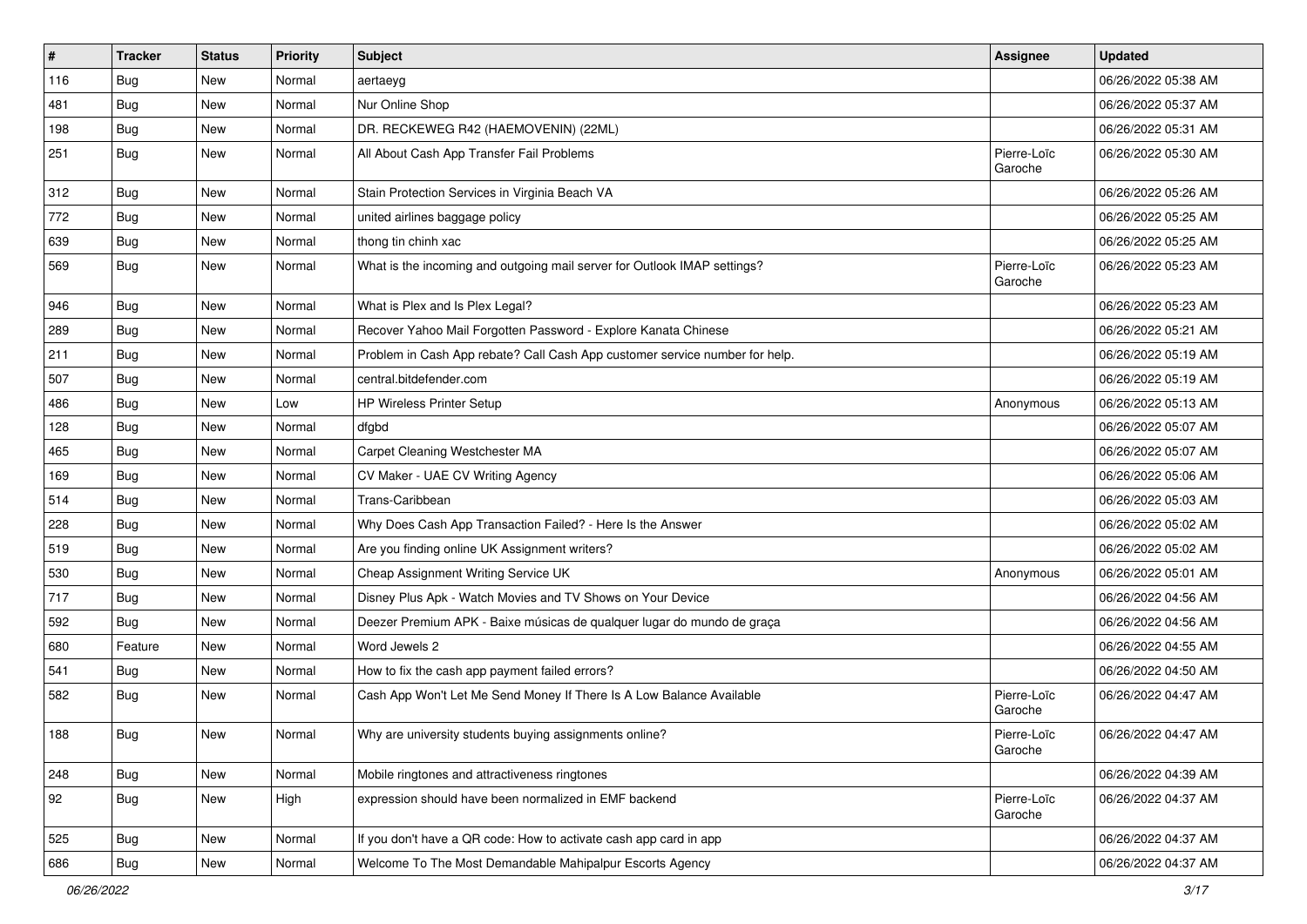| $\sharp$ | <b>Tracker</b> | <b>Status</b> | <b>Priority</b> | <b>Subject</b>                                                              | <b>Assignee</b>        | <b>Updated</b>      |
|----------|----------------|---------------|-----------------|-----------------------------------------------------------------------------|------------------------|---------------------|
| 116      | <b>Bug</b>     | New           | Normal          | aertaeyg                                                                    |                        | 06/26/2022 05:38 AM |
| 481      | <b>Bug</b>     | New           | Normal          | Nur Online Shop                                                             |                        | 06/26/2022 05:37 AM |
| 198      | <b>Bug</b>     | New           | Normal          | DR. RECKEWEG R42 (HAEMOVENIN) (22ML)                                        |                        | 06/26/2022 05:31 AM |
| 251      | <b>Bug</b>     | New           | Normal          | All About Cash App Transfer Fail Problems                                   | Pierre-Loïc<br>Garoche | 06/26/2022 05:30 AM |
| 312      | <b>Bug</b>     | New           | Normal          | Stain Protection Services in Virginia Beach VA                              |                        | 06/26/2022 05:26 AM |
| 772      | <b>Bug</b>     | New           | Normal          | united airlines baggage policy                                              |                        | 06/26/2022 05:25 AM |
| 639      | Bug            | New           | Normal          | thong tin chinh xac                                                         |                        | 06/26/2022 05:25 AM |
| 569      | <b>Bug</b>     | New           | Normal          | What is the incoming and outgoing mail server for Outlook IMAP settings?    | Pierre-Loïc<br>Garoche | 06/26/2022 05:23 AM |
| 946      | Bug            | New           | Normal          | What is Plex and Is Plex Legal?                                             |                        | 06/26/2022 05:23 AM |
| 289      | Bug            | New           | Normal          | Recover Yahoo Mail Forgotten Password - Explore Kanata Chinese              |                        | 06/26/2022 05:21 AM |
| 211      | Bug            | New           | Normal          | Problem in Cash App rebate? Call Cash App customer service number for help. |                        | 06/26/2022 05:19 AM |
| 507      | <b>Bug</b>     | New           | Normal          | central.bitdefender.com                                                     |                        | 06/26/2022 05:19 AM |
| 486      | <b>Bug</b>     | New           | Low             | <b>HP Wireless Printer Setup</b>                                            | Anonymous              | 06/26/2022 05:13 AM |
| 128      | Bug            | New           | Normal          | dfgbd                                                                       |                        | 06/26/2022 05:07 AM |
| 465      | Bug            | New           | Normal          | Carpet Cleaning Westchester MA                                              |                        | 06/26/2022 05:07 AM |
| 169      | Bug            | New           | Normal          | CV Maker - UAE CV Writing Agency                                            |                        | 06/26/2022 05:06 AM |
| 514      | <b>Bug</b>     | New           | Normal          | Trans-Caribbean                                                             |                        | 06/26/2022 05:03 AM |
| 228      | Bug            | New           | Normal          | Why Does Cash App Transaction Failed? - Here Is the Answer                  |                        | 06/26/2022 05:02 AM |
| 519      | <b>Bug</b>     | New           | Normal          | Are you finding online UK Assignment writers?                               |                        | 06/26/2022 05:02 AM |
| 530      | <b>Bug</b>     | New           | Normal          | Cheap Assignment Writing Service UK                                         | Anonymous              | 06/26/2022 05:01 AM |
| 717      | <b>Bug</b>     | New           | Normal          | Disney Plus Apk - Watch Movies and TV Shows on Your Device                  |                        | 06/26/2022 04:56 AM |
| 592      | <b>Bug</b>     | New           | Normal          | Deezer Premium APK - Baixe músicas de qualquer lugar do mundo de graça      |                        | 06/26/2022 04:56 AM |
| 680      | Feature        | New           | Normal          | Word Jewels 2                                                               |                        | 06/26/2022 04:55 AM |
| 541      | Bug            | New           | Normal          | How to fix the cash app payment failed errors?                              |                        | 06/26/2022 04:50 AM |
| 582      | <b>Bug</b>     | New           | Normal          | Cash App Won't Let Me Send Money If There Is A Low Balance Available        | Pierre-Loïc<br>Garoche | 06/26/2022 04:47 AM |
| 188      | Bug            | New           | Normal          | Why are university students buying assignments online?                      | Pierre-Loïc<br>Garoche | 06/26/2022 04:47 AM |
| 248      | Bug            | New           | Normal          | Mobile ringtones and attractiveness ringtones                               |                        | 06/26/2022 04:39 AM |
| 92       | Bug            | New           | High            | expression should have been normalized in EMF backend                       | Pierre-Loïc<br>Garoche | 06/26/2022 04:37 AM |
| 525      | Bug            | New           | Normal          | If you don't have a QR code: How to activate cash app card in app           |                        | 06/26/2022 04:37 AM |
| 686      | <b>Bug</b>     | New           | Normal          | Welcome To The Most Demandable Mahipalpur Escorts Agency                    |                        | 06/26/2022 04:37 AM |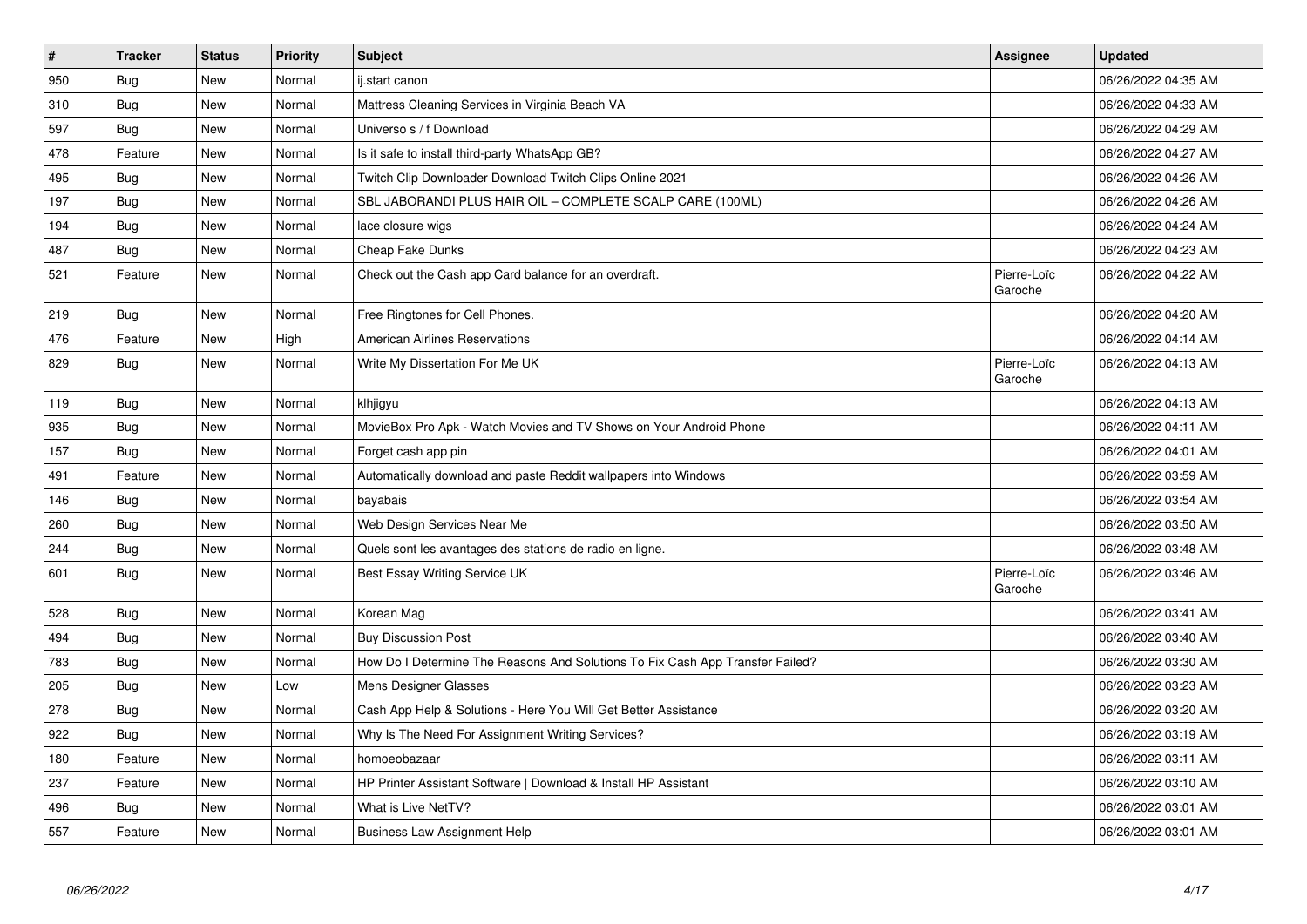| $\vert$ # | <b>Tracker</b> | <b>Status</b> | Priority | <b>Subject</b>                                                                | Assignee               | <b>Updated</b>      |
|-----------|----------------|---------------|----------|-------------------------------------------------------------------------------|------------------------|---------------------|
| 950       | Bug            | New           | Normal   | ij.start canon                                                                |                        | 06/26/2022 04:35 AM |
| 310       | <b>Bug</b>     | <b>New</b>    | Normal   | Mattress Cleaning Services in Virginia Beach VA                               |                        | 06/26/2022 04:33 AM |
| 597       | Bug            | New           | Normal   | Universo s / f Download                                                       |                        | 06/26/2022 04:29 AM |
| 478       | Feature        | New           | Normal   | Is it safe to install third-party WhatsApp GB?                                |                        | 06/26/2022 04:27 AM |
| 495       | Bug            | New           | Normal   | Twitch Clip Downloader Download Twitch Clips Online 2021                      |                        | 06/26/2022 04:26 AM |
| 197       | <b>Bug</b>     | New           | Normal   | SBL JABORANDI PLUS HAIR OIL - COMPLETE SCALP CARE (100ML)                     |                        | 06/26/2022 04:26 AM |
| 194       | <b>Bug</b>     | New           | Normal   | lace closure wigs                                                             |                        | 06/26/2022 04:24 AM |
| 487       | Bug            | New           | Normal   | Cheap Fake Dunks                                                              |                        | 06/26/2022 04:23 AM |
| 521       | Feature        | New           | Normal   | Check out the Cash app Card balance for an overdraft.                         | Pierre-Loïc<br>Garoche | 06/26/2022 04:22 AM |
| 219       | <b>Bug</b>     | New           | Normal   | Free Ringtones for Cell Phones.                                               |                        | 06/26/2022 04:20 AM |
| 476       | Feature        | New           | High     | <b>American Airlines Reservations</b>                                         |                        | 06/26/2022 04:14 AM |
| 829       | <b>Bug</b>     | New           | Normal   | Write My Dissertation For Me UK                                               | Pierre-Loïc<br>Garoche | 06/26/2022 04:13 AM |
| 119       | <b>Bug</b>     | New           | Normal   | klhjigyu                                                                      |                        | 06/26/2022 04:13 AM |
| 935       | Bug            | New           | Normal   | MovieBox Pro Apk - Watch Movies and TV Shows on Your Android Phone            |                        | 06/26/2022 04:11 AM |
| 157       | <b>Bug</b>     | New           | Normal   | Forget cash app pin                                                           |                        | 06/26/2022 04:01 AM |
| 491       | Feature        | New           | Normal   | Automatically download and paste Reddit wallpapers into Windows               |                        | 06/26/2022 03:59 AM |
| 146       | <b>Bug</b>     | New           | Normal   | bayabais                                                                      |                        | 06/26/2022 03:54 AM |
| 260       | <b>Bug</b>     | New           | Normal   | Web Design Services Near Me                                                   |                        | 06/26/2022 03:50 AM |
| 244       | <b>Bug</b>     | New           | Normal   | Quels sont les avantages des stations de radio en ligne.                      |                        | 06/26/2022 03:48 AM |
| 601       | <b>Bug</b>     | New           | Normal   | Best Essay Writing Service UK                                                 | Pierre-Loïc<br>Garoche | 06/26/2022 03:46 AM |
| 528       | <b>Bug</b>     | New           | Normal   | Korean Mag                                                                    |                        | 06/26/2022 03:41 AM |
| 494       | <b>Bug</b>     | New           | Normal   | <b>Buy Discussion Post</b>                                                    |                        | 06/26/2022 03:40 AM |
| 783       | <b>Bug</b>     | New           | Normal   | How Do I Determine The Reasons And Solutions To Fix Cash App Transfer Failed? |                        | 06/26/2022 03:30 AM |
| 205       | Bug            | New           | Low      | Mens Designer Glasses                                                         |                        | 06/26/2022 03:23 AM |
| 278       | <b>Bug</b>     | New           | Normal   | Cash App Help & Solutions - Here You Will Get Better Assistance               |                        | 06/26/2022 03:20 AM |
| 922       | <b>Bug</b>     | <b>New</b>    | Normal   | Why Is The Need For Assignment Writing Services?                              |                        | 06/26/2022 03:19 AM |
| 180       | Feature        | New           | Normal   | homoeobazaar                                                                  |                        | 06/26/2022 03:11 AM |
| 237       | Feature        | <b>New</b>    | Normal   | HP Printer Assistant Software   Download & Install HP Assistant               |                        | 06/26/2022 03:10 AM |
| 496       | Bug            | New           | Normal   | What is Live NetTV?                                                           |                        | 06/26/2022 03:01 AM |
| 557       | Feature        | New           | Normal   | <b>Business Law Assignment Help</b>                                           |                        | 06/26/2022 03:01 AM |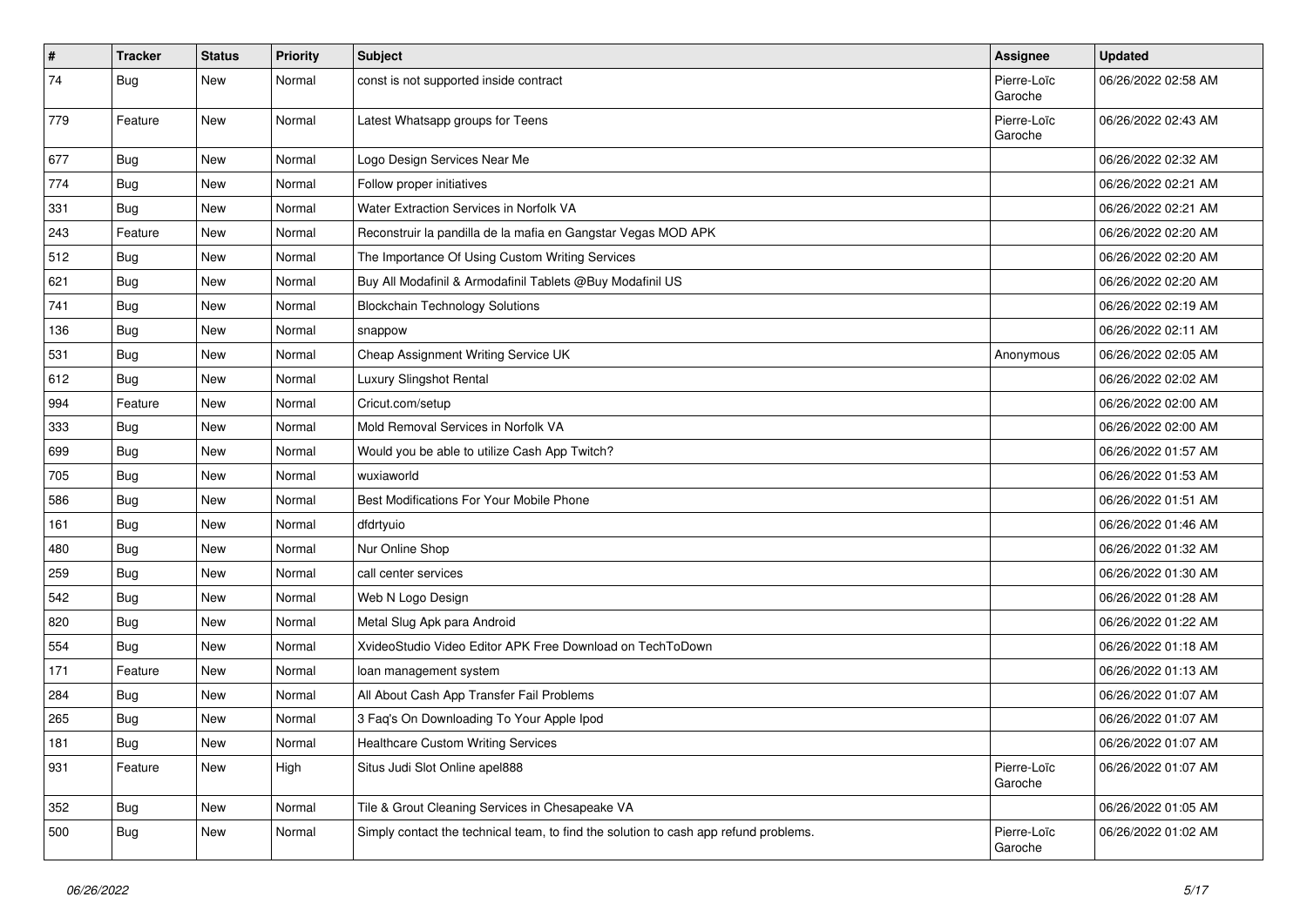| #   | <b>Tracker</b> | <b>Status</b> | <b>Priority</b> | Subject                                                                              | Assignee               | <b>Updated</b>      |
|-----|----------------|---------------|-----------------|--------------------------------------------------------------------------------------|------------------------|---------------------|
| 74  | <b>Bug</b>     | New           | Normal          | const is not supported inside contract                                               | Pierre-Loïc<br>Garoche | 06/26/2022 02:58 AM |
| 779 | Feature        | <b>New</b>    | Normal          | Latest Whatsapp groups for Teens                                                     | Pierre-Loïc<br>Garoche | 06/26/2022 02:43 AM |
| 677 | <b>Bug</b>     | <b>New</b>    | Normal          | Logo Design Services Near Me                                                         |                        | 06/26/2022 02:32 AM |
| 774 | Bug            | New           | Normal          | Follow proper initiatives                                                            |                        | 06/26/2022 02:21 AM |
| 331 | Bug            | New           | Normal          | Water Extraction Services in Norfolk VA                                              |                        | 06/26/2022 02:21 AM |
| 243 | Feature        | New           | Normal          | Reconstruir la pandilla de la mafia en Gangstar Vegas MOD APK                        |                        | 06/26/2022 02:20 AM |
| 512 | <b>Bug</b>     | New           | Normal          | The Importance Of Using Custom Writing Services                                      |                        | 06/26/2022 02:20 AM |
| 621 | <b>Bug</b>     | New           | Normal          | Buy All Modafinil & Armodafinil Tablets @Buy Modafinil US                            |                        | 06/26/2022 02:20 AM |
| 741 | Bug            | New           | Normal          | <b>Blockchain Technology Solutions</b>                                               |                        | 06/26/2022 02:19 AM |
| 136 | Bug            | New           | Normal          | snappow                                                                              |                        | 06/26/2022 02:11 AM |
| 531 | <b>Bug</b>     | New           | Normal          | Cheap Assignment Writing Service UK                                                  | Anonymous              | 06/26/2022 02:05 AM |
| 612 | <b>Bug</b>     | New           | Normal          | <b>Luxury Slingshot Rental</b>                                                       |                        | 06/26/2022 02:02 AM |
| 994 | Feature        | New           | Normal          | Cricut.com/setup                                                                     |                        | 06/26/2022 02:00 AM |
| 333 | <b>Bug</b>     | New           | Normal          | Mold Removal Services in Norfolk VA                                                  |                        | 06/26/2022 02:00 AM |
| 699 | Bug            | New           | Normal          | Would you be able to utilize Cash App Twitch?                                        |                        | 06/26/2022 01:57 AM |
| 705 | <b>Bug</b>     | New           | Normal          | wuxiaworld                                                                           |                        | 06/26/2022 01:53 AM |
| 586 | Bug            | New           | Normal          | Best Modifications For Your Mobile Phone                                             |                        | 06/26/2022 01:51 AM |
| 161 | Bug            | New           | Normal          | dfdrtyuio                                                                            |                        | 06/26/2022 01:46 AM |
| 480 | Bug            | New           | Normal          | Nur Online Shop                                                                      |                        | 06/26/2022 01:32 AM |
| 259 | <b>Bug</b>     | New           | Normal          | call center services                                                                 |                        | 06/26/2022 01:30 AM |
| 542 | Bug            | New           | Normal          | Web N Logo Design                                                                    |                        | 06/26/2022 01:28 AM |
| 820 | <b>Bug</b>     | New           | Normal          | Metal Slug Apk para Android                                                          |                        | 06/26/2022 01:22 AM |
| 554 | <b>Bug</b>     | New           | Normal          | XvideoStudio Video Editor APK Free Download on TechToDown                            |                        | 06/26/2022 01:18 AM |
| 171 | Feature        | New           | Normal          | loan management system                                                               |                        | 06/26/2022 01:13 AM |
| 284 | <b>Bug</b>     | New           | Normal          | All About Cash App Transfer Fail Problems                                            |                        | 06/26/2022 01:07 AM |
| 265 | Bug            | New           | Normal          | 3 Faq's On Downloading To Your Apple Ipod                                            |                        | 06/26/2022 01:07 AM |
| 181 | Bug            | New           | Normal          | <b>Healthcare Custom Writing Services</b>                                            |                        | 06/26/2022 01:07 AM |
| 931 | Feature        | New           | High            | Situs Judi Slot Online apel888                                                       | Pierre-Loïc<br>Garoche | 06/26/2022 01:07 AM |
| 352 | Bug            | New           | Normal          | Tile & Grout Cleaning Services in Chesapeake VA                                      |                        | 06/26/2022 01:05 AM |
| 500 | <b>Bug</b>     | New           | Normal          | Simply contact the technical team, to find the solution to cash app refund problems. | Pierre-Loïc<br>Garoche | 06/26/2022 01:02 AM |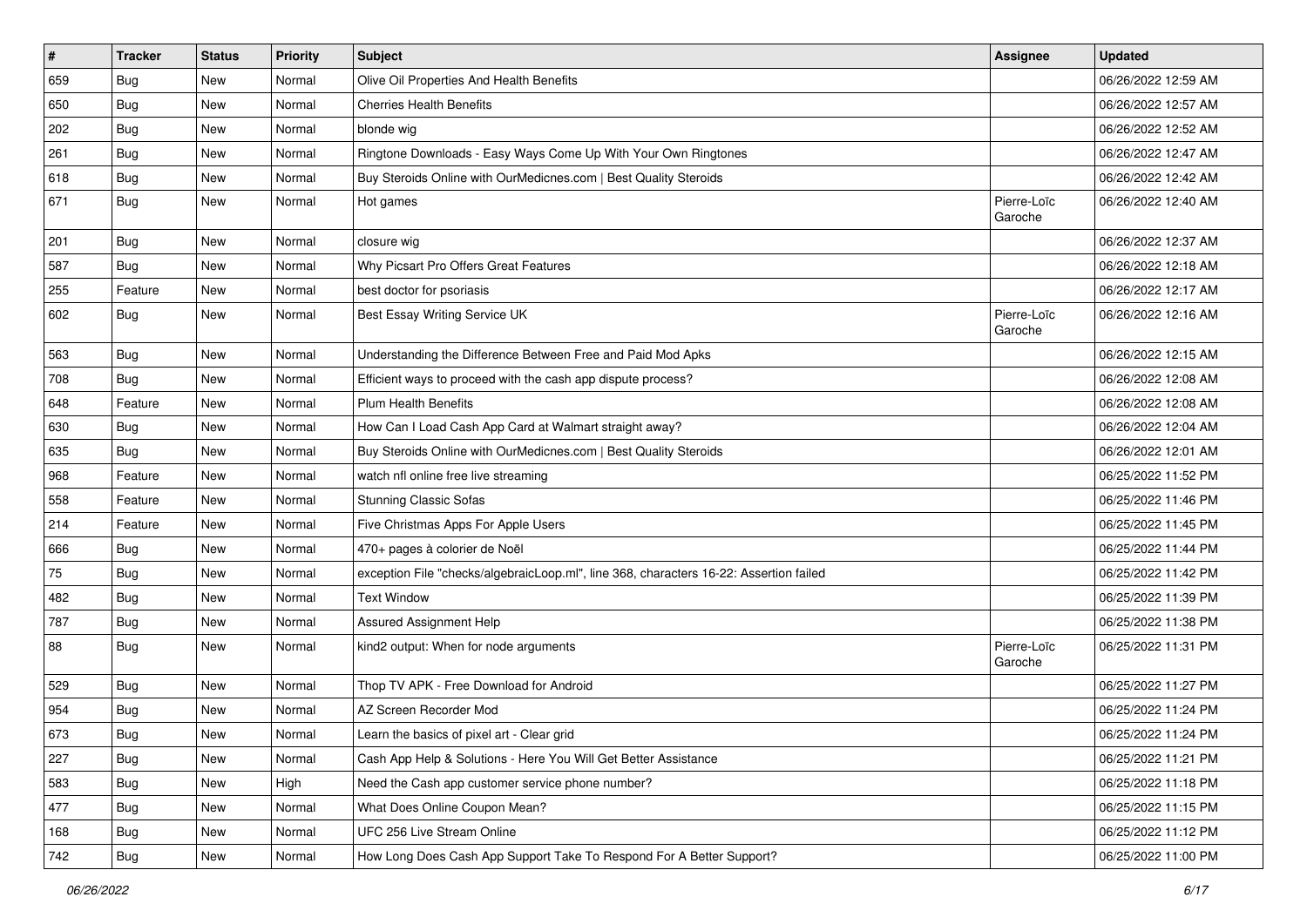| $\vert$ # | <b>Tracker</b> | <b>Status</b> | <b>Priority</b> | Subject                                                                                | <b>Assignee</b>        | <b>Updated</b>      |
|-----------|----------------|---------------|-----------------|----------------------------------------------------------------------------------------|------------------------|---------------------|
| 659       | Bug            | New           | Normal          | Olive Oil Properties And Health Benefits                                               |                        | 06/26/2022 12:59 AM |
| 650       | Bug            | New           | Normal          | <b>Cherries Health Benefits</b>                                                        |                        | 06/26/2022 12:57 AM |
| 202       | <b>Bug</b>     | New           | Normal          | blonde wig                                                                             |                        | 06/26/2022 12:52 AM |
| 261       | <b>Bug</b>     | New           | Normal          | Ringtone Downloads - Easy Ways Come Up With Your Own Ringtones                         |                        | 06/26/2022 12:47 AM |
| 618       | <b>Bug</b>     | New           | Normal          | Buy Steroids Online with OurMedicnes.com   Best Quality Steroids                       |                        | 06/26/2022 12:42 AM |
| 671       | Bug            | New           | Normal          | Hot games                                                                              | Pierre-Loïc<br>Garoche | 06/26/2022 12:40 AM |
| 201       | Bug            | New           | Normal          | closure wig                                                                            |                        | 06/26/2022 12:37 AM |
| 587       | <b>Bug</b>     | New           | Normal          | Why Picsart Pro Offers Great Features                                                  |                        | 06/26/2022 12:18 AM |
| 255       | Feature        | New           | Normal          | best doctor for psoriasis                                                              |                        | 06/26/2022 12:17 AM |
| 602       | Bug            | New           | Normal          | Best Essay Writing Service UK                                                          | Pierre-Loïc<br>Garoche | 06/26/2022 12:16 AM |
| 563       | Bug            | New           | Normal          | Understanding the Difference Between Free and Paid Mod Apks                            |                        | 06/26/2022 12:15 AM |
| 708       | Bug            | New           | Normal          | Efficient ways to proceed with the cash app dispute process?                           |                        | 06/26/2022 12:08 AM |
| 648       | Feature        | New           | Normal          | <b>Plum Health Benefits</b>                                                            |                        | 06/26/2022 12:08 AM |
| 630       | <b>Bug</b>     | New           | Normal          | How Can I Load Cash App Card at Walmart straight away?                                 |                        | 06/26/2022 12:04 AM |
| 635       | <b>Bug</b>     | New           | Normal          | Buy Steroids Online with OurMedicnes.com   Best Quality Steroids                       |                        | 06/26/2022 12:01 AM |
| 968       | Feature        | New           | Normal          | watch nfl online free live streaming                                                   |                        | 06/25/2022 11:52 PM |
| 558       | Feature        | New           | Normal          | <b>Stunning Classic Sofas</b>                                                          |                        | 06/25/2022 11:46 PM |
| 214       | Feature        | New           | Normal          | Five Christmas Apps For Apple Users                                                    |                        | 06/25/2022 11:45 PM |
| 666       | <b>Bug</b>     | New           | Normal          | 470+ pages à colorier de Noël                                                          |                        | 06/25/2022 11:44 PM |
| 75        | <b>Bug</b>     | New           | Normal          | exception File "checks/algebraicLoop.ml", line 368, characters 16-22: Assertion failed |                        | 06/25/2022 11:42 PM |
| 482       | <b>Bug</b>     | New           | Normal          | <b>Text Window</b>                                                                     |                        | 06/25/2022 11:39 PM |
| 787       | <b>Bug</b>     | New           | Normal          | Assured Assignment Help                                                                |                        | 06/25/2022 11:38 PM |
| 88        | <b>Bug</b>     | New           | Normal          | kind2 output: When for node arguments                                                  | Pierre-Loïc<br>Garoche | 06/25/2022 11:31 PM |
| 529       | <b>Bug</b>     | New           | Normal          | Thop TV APK - Free Download for Android                                                |                        | 06/25/2022 11:27 PM |
| 954       | <b>Bug</b>     | New           | Normal          | AZ Screen Recorder Mod                                                                 |                        | 06/25/2022 11:24 PM |
| 673       | Bug            | New           | Normal          | Learn the basics of pixel art - Clear grid                                             |                        | 06/25/2022 11:24 PM |
| 227       | <b>Bug</b>     | New           | Normal          | Cash App Help & Solutions - Here You Will Get Better Assistance                        |                        | 06/25/2022 11:21 PM |
| 583       | <b>Bug</b>     | New           | High            | Need the Cash app customer service phone number?                                       |                        | 06/25/2022 11:18 PM |
| 477       | <b>Bug</b>     | New           | Normal          | What Does Online Coupon Mean?                                                          |                        | 06/25/2022 11:15 PM |
| 168       | Bug            | New           | Normal          | UFC 256 Live Stream Online                                                             |                        | 06/25/2022 11:12 PM |
| 742       | Bug            | New           | Normal          | How Long Does Cash App Support Take To Respond For A Better Support?                   |                        | 06/25/2022 11:00 PM |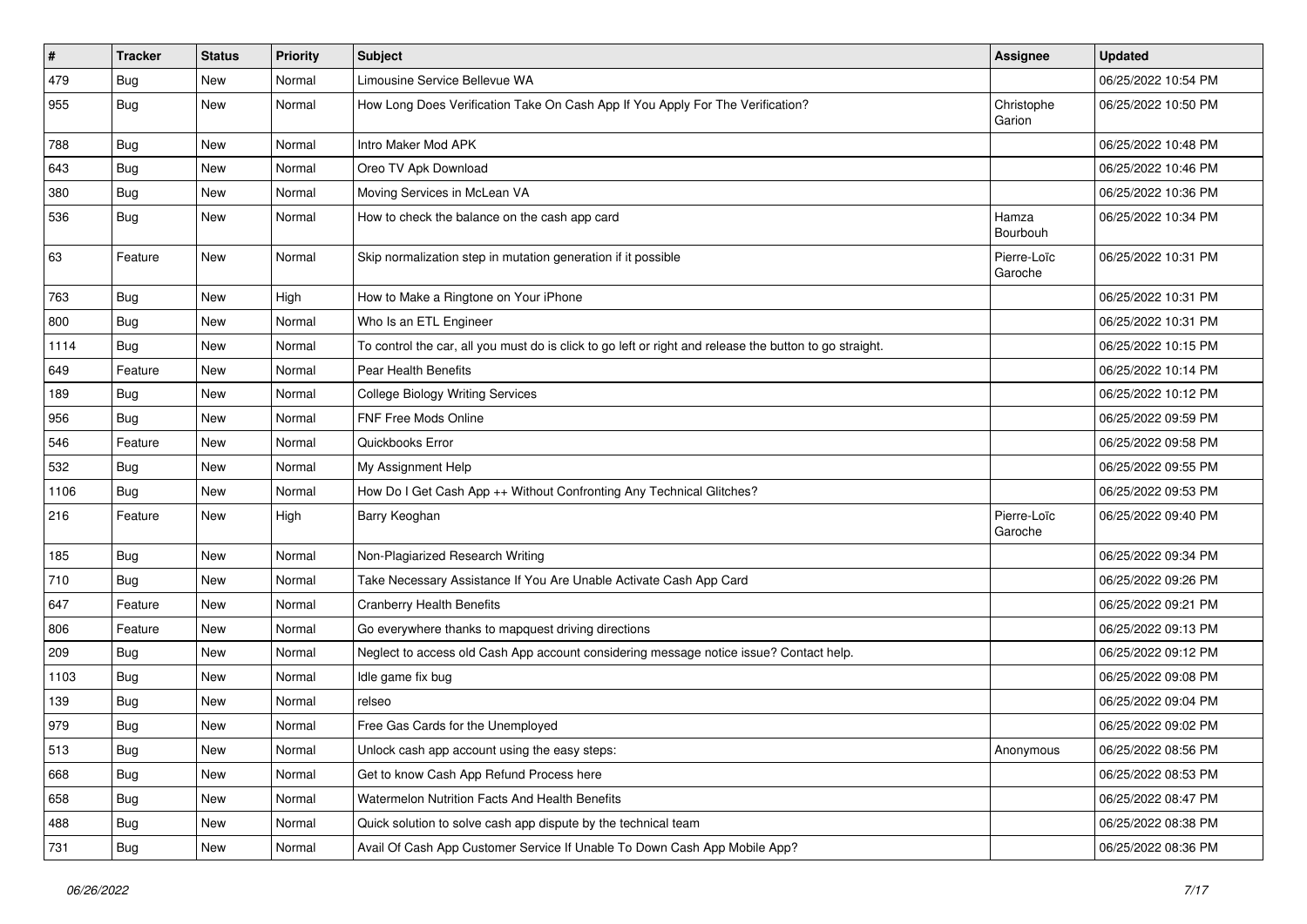| #    | <b>Tracker</b> | <b>Status</b> | <b>Priority</b> | <b>Subject</b>                                                                                          | Assignee               | <b>Updated</b>      |
|------|----------------|---------------|-----------------|---------------------------------------------------------------------------------------------------------|------------------------|---------------------|
| 479  | <b>Bug</b>     | New           | Normal          | Limousine Service Bellevue WA                                                                           |                        | 06/25/2022 10:54 PM |
| 955  | <b>Bug</b>     | New           | Normal          | How Long Does Verification Take On Cash App If You Apply For The Verification?                          | Christophe<br>Garion   | 06/25/2022 10:50 PM |
| 788  | Bug            | New           | Normal          | Intro Maker Mod APK                                                                                     |                        | 06/25/2022 10:48 PM |
| 643  | Bug            | New           | Normal          | Oreo TV Apk Download                                                                                    |                        | 06/25/2022 10:46 PM |
| 380  | Bug            | New           | Normal          | Moving Services in McLean VA                                                                            |                        | 06/25/2022 10:36 PM |
| 536  | <b>Bug</b>     | New           | Normal          | How to check the balance on the cash app card                                                           | Hamza<br>Bourbouh      | 06/25/2022 10:34 PM |
| 63   | Feature        | New           | Normal          | Skip normalization step in mutation generation if it possible                                           | Pierre-Loïc<br>Garoche | 06/25/2022 10:31 PM |
| 763  | Bug            | New           | High            | How to Make a Ringtone on Your iPhone                                                                   |                        | 06/25/2022 10:31 PM |
| 800  | Bug            | New           | Normal          | Who Is an ETL Engineer                                                                                  |                        | 06/25/2022 10:31 PM |
| 1114 | Bug            | New           | Normal          | To control the car, all you must do is click to go left or right and release the button to go straight. |                        | 06/25/2022 10:15 PM |
| 649  | Feature        | New           | Normal          | Pear Health Benefits                                                                                    |                        | 06/25/2022 10:14 PM |
| 189  | Bug            | New           | Normal          | <b>College Biology Writing Services</b>                                                                 |                        | 06/25/2022 10:12 PM |
| 956  | Bug            | New           | Normal          | <b>FNF Free Mods Online</b>                                                                             |                        | 06/25/2022 09:59 PM |
| 546  | Feature        | New           | Normal          | Quickbooks Error                                                                                        |                        | 06/25/2022 09:58 PM |
| 532  | Bug            | New           | Normal          | My Assignment Help                                                                                      |                        | 06/25/2022 09:55 PM |
| 1106 | Bug            | New           | Normal          | How Do I Get Cash App ++ Without Confronting Any Technical Glitches?                                    |                        | 06/25/2022 09:53 PM |
| 216  | Feature        | New           | High            | Barry Keoghan                                                                                           | Pierre-Loïc<br>Garoche | 06/25/2022 09:40 PM |
| 185  | Bug            | New           | Normal          | Non-Plagiarized Research Writing                                                                        |                        | 06/25/2022 09:34 PM |
| 710  | <b>Bug</b>     | New           | Normal          | Take Necessary Assistance If You Are Unable Activate Cash App Card                                      |                        | 06/25/2022 09:26 PM |
| 647  | Feature        | New           | Normal          | <b>Cranberry Health Benefits</b>                                                                        |                        | 06/25/2022 09:21 PM |
| 806  | Feature        | New           | Normal          | Go everywhere thanks to mapquest driving directions                                                     |                        | 06/25/2022 09:13 PM |
| 209  | Bug            | New           | Normal          | Neglect to access old Cash App account considering message notice issue? Contact help.                  |                        | 06/25/2022 09:12 PM |
| 1103 | <b>Bug</b>     | New           | Normal          | Idle game fix bug                                                                                       |                        | 06/25/2022 09:08 PM |
| 139  | Bug            | New           | Normal          | relseo                                                                                                  |                        | 06/25/2022 09:04 PM |
| 979  | <b>Bug</b>     | New           | Normal          | Free Gas Cards for the Unemployed                                                                       |                        | 06/25/2022 09:02 PM |
| 513  | <b>Bug</b>     | New           | Normal          | Unlock cash app account using the easy steps:                                                           | Anonymous              | 06/25/2022 08:56 PM |
| 668  | <b>Bug</b>     | New           | Normal          | Get to know Cash App Refund Process here                                                                |                        | 06/25/2022 08:53 PM |
| 658  | <b>Bug</b>     | New           | Normal          | Watermelon Nutrition Facts And Health Benefits                                                          |                        | 06/25/2022 08:47 PM |
| 488  | <b>Bug</b>     | New           | Normal          | Quick solution to solve cash app dispute by the technical team                                          |                        | 06/25/2022 08:38 PM |
| 731  | <b>Bug</b>     | New           | Normal          | Avail Of Cash App Customer Service If Unable To Down Cash App Mobile App?                               |                        | 06/25/2022 08:36 PM |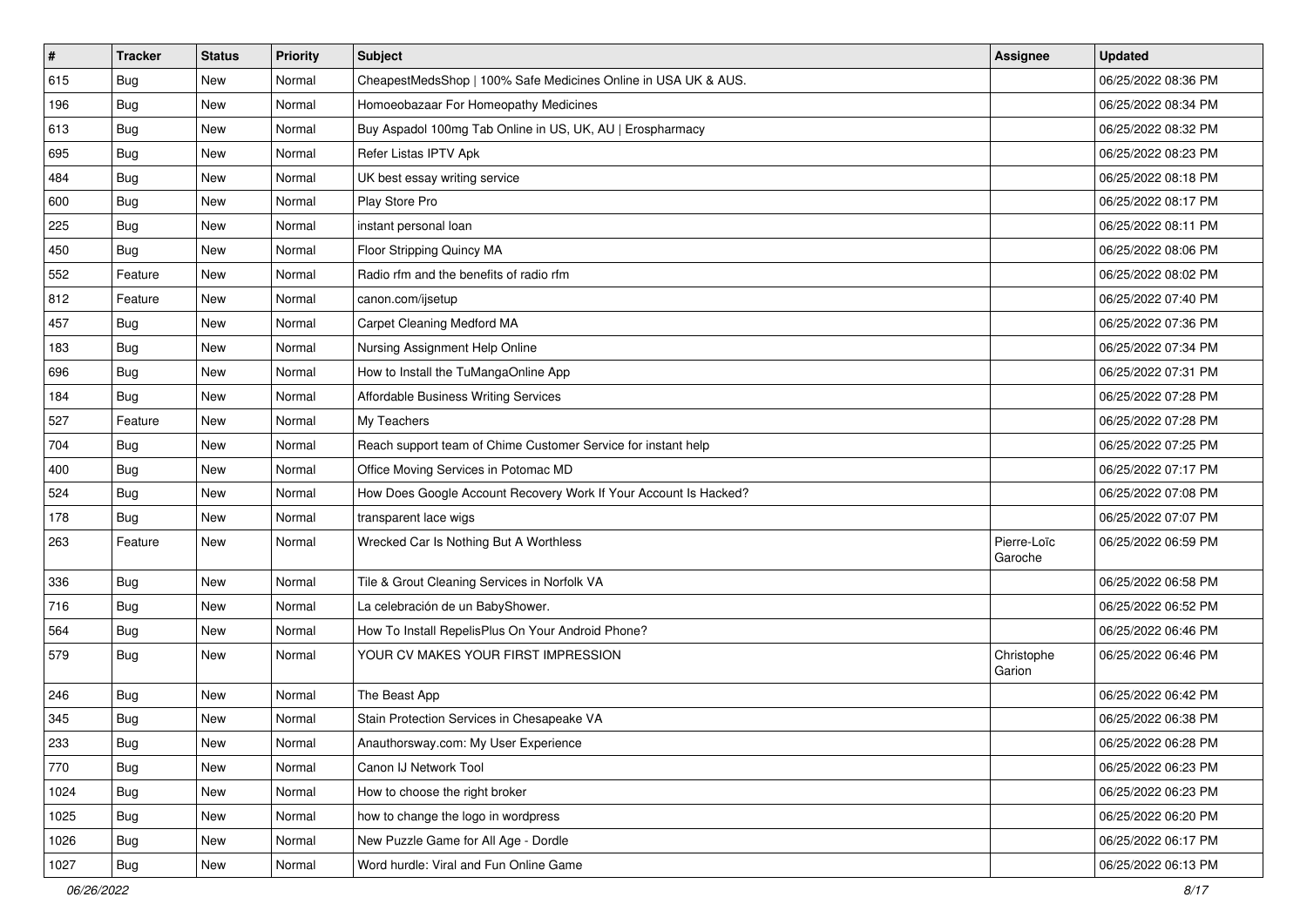| $\vert$ # | <b>Tracker</b> | <b>Status</b> | <b>Priority</b> | <b>Subject</b>                                                   | <b>Assignee</b>        | <b>Updated</b>      |
|-----------|----------------|---------------|-----------------|------------------------------------------------------------------|------------------------|---------------------|
| 615       | <b>Bug</b>     | New           | Normal          | CheapestMedsShop   100% Safe Medicines Online in USA UK & AUS.   |                        | 06/25/2022 08:36 PM |
| 196       | <b>Bug</b>     | New           | Normal          | Homoeobazaar For Homeopathy Medicines                            |                        | 06/25/2022 08:34 PM |
| 613       | Bug            | <b>New</b>    | Normal          | Buy Aspadol 100mg Tab Online in US, UK, AU   Erospharmacy        |                        | 06/25/2022 08:32 PM |
| 695       | Bug            | New           | Normal          | Refer Listas IPTV Apk                                            |                        | 06/25/2022 08:23 PM |
| 484       | Bug            | New           | Normal          | UK best essay writing service                                    |                        | 06/25/2022 08:18 PM |
| 600       | Bug            | New           | Normal          | Play Store Pro                                                   |                        | 06/25/2022 08:17 PM |
| 225       | <b>Bug</b>     | New           | Normal          | instant personal loan                                            |                        | 06/25/2022 08:11 PM |
| 450       | Bug            | New           | Normal          | Floor Stripping Quincy MA                                        |                        | 06/25/2022 08:06 PM |
| 552       | Feature        | New           | Normal          | Radio rfm and the benefits of radio rfm                          |                        | 06/25/2022 08:02 PM |
| 812       | Feature        | New           | Normal          | canon.com/ijsetup                                                |                        | 06/25/2022 07:40 PM |
| 457       | <b>Bug</b>     | New           | Normal          | Carpet Cleaning Medford MA                                       |                        | 06/25/2022 07:36 PM |
| 183       | <b>Bug</b>     | New           | Normal          | Nursing Assignment Help Online                                   |                        | 06/25/2022 07:34 PM |
| 696       | <b>Bug</b>     | New           | Normal          | How to Install the TuMangaOnline App                             |                        | 06/25/2022 07:31 PM |
| 184       | Bug            | New           | Normal          | Affordable Business Writing Services                             |                        | 06/25/2022 07:28 PM |
| 527       | Feature        | New           | Normal          | My Teachers                                                      |                        | 06/25/2022 07:28 PM |
| 704       | Bug            | <b>New</b>    | Normal          | Reach support team of Chime Customer Service for instant help    |                        | 06/25/2022 07:25 PM |
| 400       | Bug            | New           | Normal          | Office Moving Services in Potomac MD                             |                        | 06/25/2022 07:17 PM |
| 524       | <b>Bug</b>     | New           | Normal          | How Does Google Account Recovery Work If Your Account Is Hacked? |                        | 06/25/2022 07:08 PM |
| 178       | <b>Bug</b>     | New           | Normal          | transparent lace wigs                                            |                        | 06/25/2022 07:07 PM |
| 263       | Feature        | New           | Normal          | Wrecked Car Is Nothing But A Worthless                           | Pierre-Loïc<br>Garoche | 06/25/2022 06:59 PM |
| 336       | <b>Bug</b>     | <b>New</b>    | Normal          | Tile & Grout Cleaning Services in Norfolk VA                     |                        | 06/25/2022 06:58 PM |
| 716       | Bug            | New           | Normal          | La celebración de un BabyShower.                                 |                        | 06/25/2022 06:52 PM |
| 564       | Bug            | New           | Normal          | How To Install RepelisPlus On Your Android Phone?                |                        | 06/25/2022 06:46 PM |
| 579       | <b>Bug</b>     | New           | Normal          | YOUR CV MAKES YOUR FIRST IMPRESSION                              | Christophe<br>Garion   | 06/25/2022 06:46 PM |
| 246       | <b>Bug</b>     | New           | Normal          | The Beast App                                                    |                        | 06/25/2022 06:42 PM |
| 345       | <b>Bug</b>     | New           | Normal          | Stain Protection Services in Chesapeake VA                       |                        | 06/25/2022 06:38 PM |
| 233       | <b>Bug</b>     | New           | Normal          | Anauthorsway.com: My User Experience                             |                        | 06/25/2022 06:28 PM |
| 770       | Bug            | New           | Normal          | Canon IJ Network Tool                                            |                        | 06/25/2022 06:23 PM |
| 1024      | <b>Bug</b>     | New           | Normal          | How to choose the right broker                                   |                        | 06/25/2022 06:23 PM |
| 1025      | <b>Bug</b>     | New           | Normal          | how to change the logo in wordpress                              |                        | 06/25/2022 06:20 PM |
| 1026      | <b>Bug</b>     | New           | Normal          | New Puzzle Game for All Age - Dordle                             |                        | 06/25/2022 06:17 PM |
| 1027      | Bug            | New           | Normal          | Word hurdle: Viral and Fun Online Game                           |                        | 06/25/2022 06:13 PM |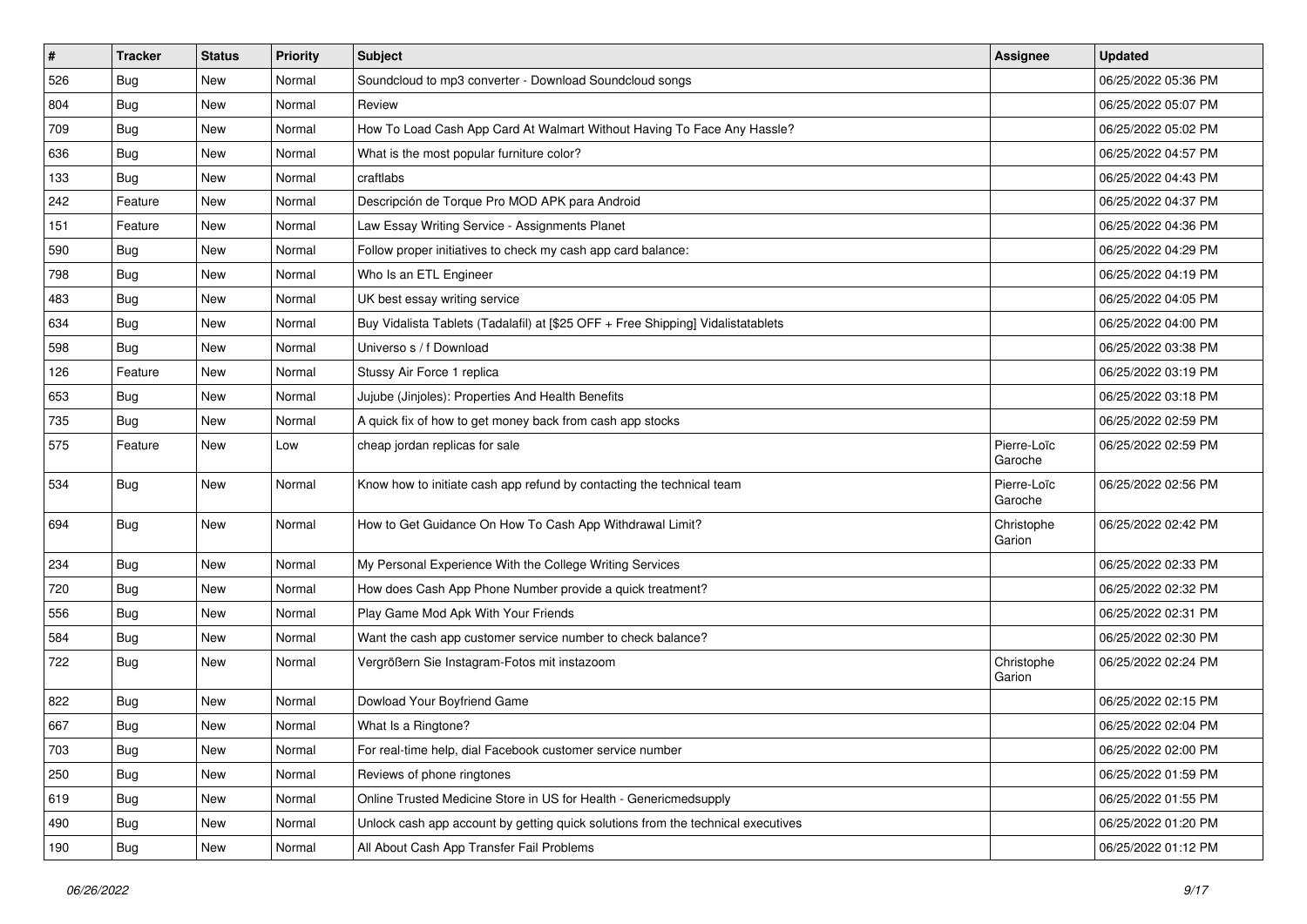| $\vert$ # | <b>Tracker</b> | <b>Status</b> | <b>Priority</b> | Subject                                                                          | <b>Assignee</b>        | <b>Updated</b>      |
|-----------|----------------|---------------|-----------------|----------------------------------------------------------------------------------|------------------------|---------------------|
| 526       | <b>Bug</b>     | New           | Normal          | Soundcloud to mp3 converter - Download Soundcloud songs                          |                        | 06/25/2022 05:36 PM |
| 804       | Bug            | <b>New</b>    | Normal          | Review                                                                           |                        | 06/25/2022 05:07 PM |
| 709       | <b>Bug</b>     | New           | Normal          | How To Load Cash App Card At Walmart Without Having To Face Any Hassle?          |                        | 06/25/2022 05:02 PM |
| 636       | <b>Bug</b>     | New           | Normal          | What is the most popular furniture color?                                        |                        | 06/25/2022 04:57 PM |
| 133       | Bug            | New           | Normal          | craftlabs                                                                        |                        | 06/25/2022 04:43 PM |
| 242       | Feature        | New           | Normal          | Descripción de Torque Pro MOD APK para Android                                   |                        | 06/25/2022 04:37 PM |
| 151       | Feature        | New           | Normal          | Law Essay Writing Service - Assignments Planet                                   |                        | 06/25/2022 04:36 PM |
| 590       | <b>Bug</b>     | New           | Normal          | Follow proper initiatives to check my cash app card balance:                     |                        | 06/25/2022 04:29 PM |
| 798       | <b>Bug</b>     | <b>New</b>    | Normal          | Who Is an ETL Engineer                                                           |                        | 06/25/2022 04:19 PM |
| 483       | <b>Bug</b>     | New           | Normal          | UK best essay writing service                                                    |                        | 06/25/2022 04:05 PM |
| 634       | Bug            | New           | Normal          | Buy Vidalista Tablets (Tadalafil) at [\$25 OFF + Free Shipping] Vidalistatablets |                        | 06/25/2022 04:00 PM |
| 598       | Bug            | New           | Normal          | Universo s / f Download                                                          |                        | 06/25/2022 03:38 PM |
| 126       | Feature        | New           | Normal          | Stussy Air Force 1 replica                                                       |                        | 06/25/2022 03:19 PM |
| 653       | <b>Bug</b>     | New           | Normal          | Jujube (Jinjoles): Properties And Health Benefits                                |                        | 06/25/2022 03:18 PM |
| 735       | Bug            | New           | Normal          | A quick fix of how to get money back from cash app stocks                        |                        | 06/25/2022 02:59 PM |
| 575       | Feature        | New           | Low             | cheap jordan replicas for sale                                                   | Pierre-Loïc<br>Garoche | 06/25/2022 02:59 PM |
| 534       | Bug            | New           | Normal          | Know how to initiate cash app refund by contacting the technical team            | Pierre-Loïc<br>Garoche | 06/25/2022 02:56 PM |
| 694       | <b>Bug</b>     | New           | Normal          | How to Get Guidance On How To Cash App Withdrawal Limit?                         | Christophe<br>Garion   | 06/25/2022 02:42 PM |
| 234       | Bug            | New           | Normal          | My Personal Experience With the College Writing Services                         |                        | 06/25/2022 02:33 PM |
| 720       | Bug            | New           | Normal          | How does Cash App Phone Number provide a quick treatment?                        |                        | 06/25/2022 02:32 PM |
| 556       | <b>Bug</b>     | New           | Normal          | Play Game Mod Apk With Your Friends                                              |                        | 06/25/2022 02:31 PM |
| 584       | <b>Bug</b>     | New           | Normal          | Want the cash app customer service number to check balance?                      |                        | 06/25/2022 02:30 PM |
| 722       | Bug            | New           | Normal          | Vergrößern Sie Instagram-Fotos mit instazoom                                     | Christophe<br>Garion   | 06/25/2022 02:24 PM |
| 822       | Bug            | New           | Normal          | Dowload Your Boyfriend Game                                                      |                        | 06/25/2022 02:15 PM |
| 667       | <b>Bug</b>     | New           | Normal          | What Is a Ringtone?                                                              |                        | 06/25/2022 02:04 PM |
| 703       | <b>Bug</b>     | New           | Normal          | For real-time help, dial Facebook customer service number                        |                        | 06/25/2022 02:00 PM |
| 250       | <b>Bug</b>     | New           | Normal          | Reviews of phone ringtones                                                       |                        | 06/25/2022 01:59 PM |
| 619       | Bug            | New           | Normal          | Online Trusted Medicine Store in US for Health - Genericmedsupply                |                        | 06/25/2022 01:55 PM |
| 490       | <b>Bug</b>     | New           | Normal          | Unlock cash app account by getting quick solutions from the technical executives |                        | 06/25/2022 01:20 PM |
| 190       | <b>Bug</b>     | New           | Normal          | All About Cash App Transfer Fail Problems                                        |                        | 06/25/2022 01:12 PM |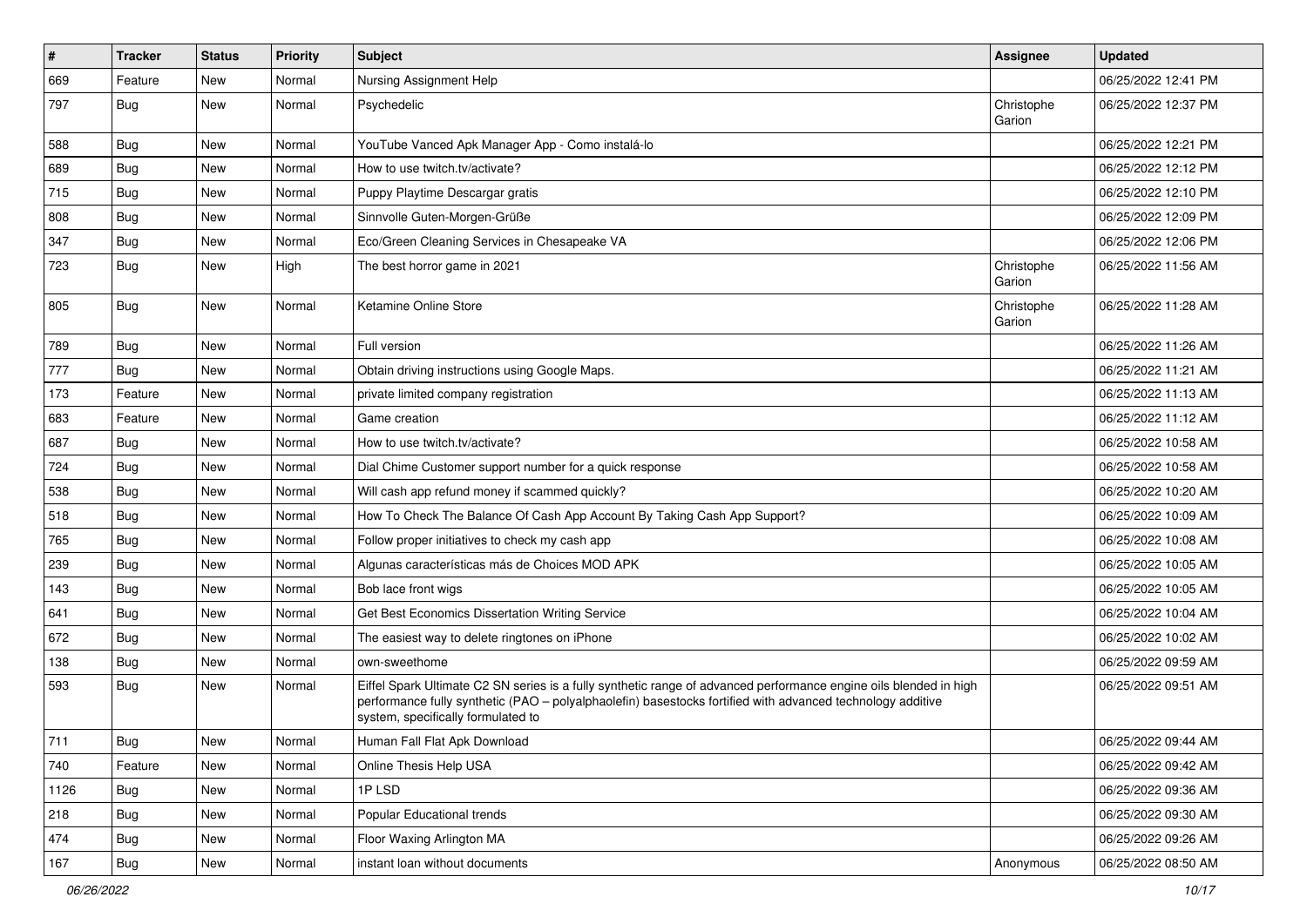| #    | <b>Tracker</b> | <b>Status</b> | <b>Priority</b> | <b>Subject</b>                                                                                                                                                                                                                                                        | <b>Assignee</b>      | <b>Updated</b>      |
|------|----------------|---------------|-----------------|-----------------------------------------------------------------------------------------------------------------------------------------------------------------------------------------------------------------------------------------------------------------------|----------------------|---------------------|
| 669  | Feature        | New           | Normal          | Nursing Assignment Help                                                                                                                                                                                                                                               |                      | 06/25/2022 12:41 PM |
| 797  | <b>Bug</b>     | New           | Normal          | Psychedelic                                                                                                                                                                                                                                                           | Christophe<br>Garion | 06/25/2022 12:37 PM |
| 588  | Bug            | New           | Normal          | YouTube Vanced Apk Manager App - Como instalá-lo                                                                                                                                                                                                                      |                      | 06/25/2022 12:21 PM |
| 689  | Bug            | New           | Normal          | How to use twitch.tv/activate?                                                                                                                                                                                                                                        |                      | 06/25/2022 12:12 PM |
| 715  | <b>Bug</b>     | New           | Normal          | Puppy Playtime Descargar gratis                                                                                                                                                                                                                                       |                      | 06/25/2022 12:10 PM |
| 808  | Bug            | New           | Normal          | Sinnvolle Guten-Morgen-Grüße                                                                                                                                                                                                                                          |                      | 06/25/2022 12:09 PM |
| 347  | Bug            | New           | Normal          | Eco/Green Cleaning Services in Chesapeake VA                                                                                                                                                                                                                          |                      | 06/25/2022 12:06 PM |
| 723  | <b>Bug</b>     | New           | High            | The best horror game in 2021                                                                                                                                                                                                                                          | Christophe<br>Garion | 06/25/2022 11:56 AM |
| 805  | <b>Bug</b>     | New           | Normal          | Ketamine Online Store                                                                                                                                                                                                                                                 | Christophe<br>Garion | 06/25/2022 11:28 AM |
| 789  | Bug            | New           | Normal          | Full version                                                                                                                                                                                                                                                          |                      | 06/25/2022 11:26 AM |
| 777  | <b>Bug</b>     | New           | Normal          | Obtain driving instructions using Google Maps.                                                                                                                                                                                                                        |                      | 06/25/2022 11:21 AM |
| 173  | Feature        | New           | Normal          | private limited company registration                                                                                                                                                                                                                                  |                      | 06/25/2022 11:13 AM |
| 683  | Feature        | <b>New</b>    | Normal          | Game creation                                                                                                                                                                                                                                                         |                      | 06/25/2022 11:12 AM |
| 687  | Bug            | New           | Normal          | How to use twitch.tv/activate?                                                                                                                                                                                                                                        |                      | 06/25/2022 10:58 AM |
| 724  | Bug            | New           | Normal          | Dial Chime Customer support number for a quick response                                                                                                                                                                                                               |                      | 06/25/2022 10:58 AM |
| 538  | Bug            | New           | Normal          | Will cash app refund money if scammed quickly?                                                                                                                                                                                                                        |                      | 06/25/2022 10:20 AM |
| 518  | Bug            | <b>New</b>    | Normal          | How To Check The Balance Of Cash App Account By Taking Cash App Support?                                                                                                                                                                                              |                      | 06/25/2022 10:09 AM |
| 765  | Bug            | New           | Normal          | Follow proper initiatives to check my cash app                                                                                                                                                                                                                        |                      | 06/25/2022 10:08 AM |
| 239  | <b>Bug</b>     | New           | Normal          | Algunas características más de Choices MOD APK                                                                                                                                                                                                                        |                      | 06/25/2022 10:05 AM |
| 143  | Bug            | New           | Normal          | Bob lace front wigs                                                                                                                                                                                                                                                   |                      | 06/25/2022 10:05 AM |
| 641  | Bug            | New           | Normal          | Get Best Economics Dissertation Writing Service                                                                                                                                                                                                                       |                      | 06/25/2022 10:04 AM |
| 672  | <b>Bug</b>     | New           | Normal          | The easiest way to delete ringtones on iPhone                                                                                                                                                                                                                         |                      | 06/25/2022 10:02 AM |
| 138  | Bug            | New           | Normal          | own-sweethome                                                                                                                                                                                                                                                         |                      | 06/25/2022 09:59 AM |
| 593  | <b>Bug</b>     | New           | Normal          | Eiffel Spark Ultimate C2 SN series is a fully synthetic range of advanced performance engine oils blended in high<br>performance fully synthetic (PAO – polyalphaolefin) basestocks fortified with advanced technology additive<br>system, specifically formulated to |                      | 06/25/2022 09:51 AM |
| 711  | Bug            | New           | Normal          | Human Fall Flat Apk Download                                                                                                                                                                                                                                          |                      | 06/25/2022 09:44 AM |
| 740  | Feature        | New           | Normal          | Online Thesis Help USA                                                                                                                                                                                                                                                |                      | 06/25/2022 09:42 AM |
| 1126 | <b>Bug</b>     | New           | Normal          | 1PLSD                                                                                                                                                                                                                                                                 |                      | 06/25/2022 09:36 AM |
| 218  | <b>Bug</b>     | New           | Normal          | Popular Educational trends                                                                                                                                                                                                                                            |                      | 06/25/2022 09:30 AM |
| 474  | Bug            | New           | Normal          | Floor Waxing Arlington MA                                                                                                                                                                                                                                             |                      | 06/25/2022 09:26 AM |
| 167  | Bug            | New           | Normal          | instant loan without documents                                                                                                                                                                                                                                        | Anonymous            | 06/25/2022 08:50 AM |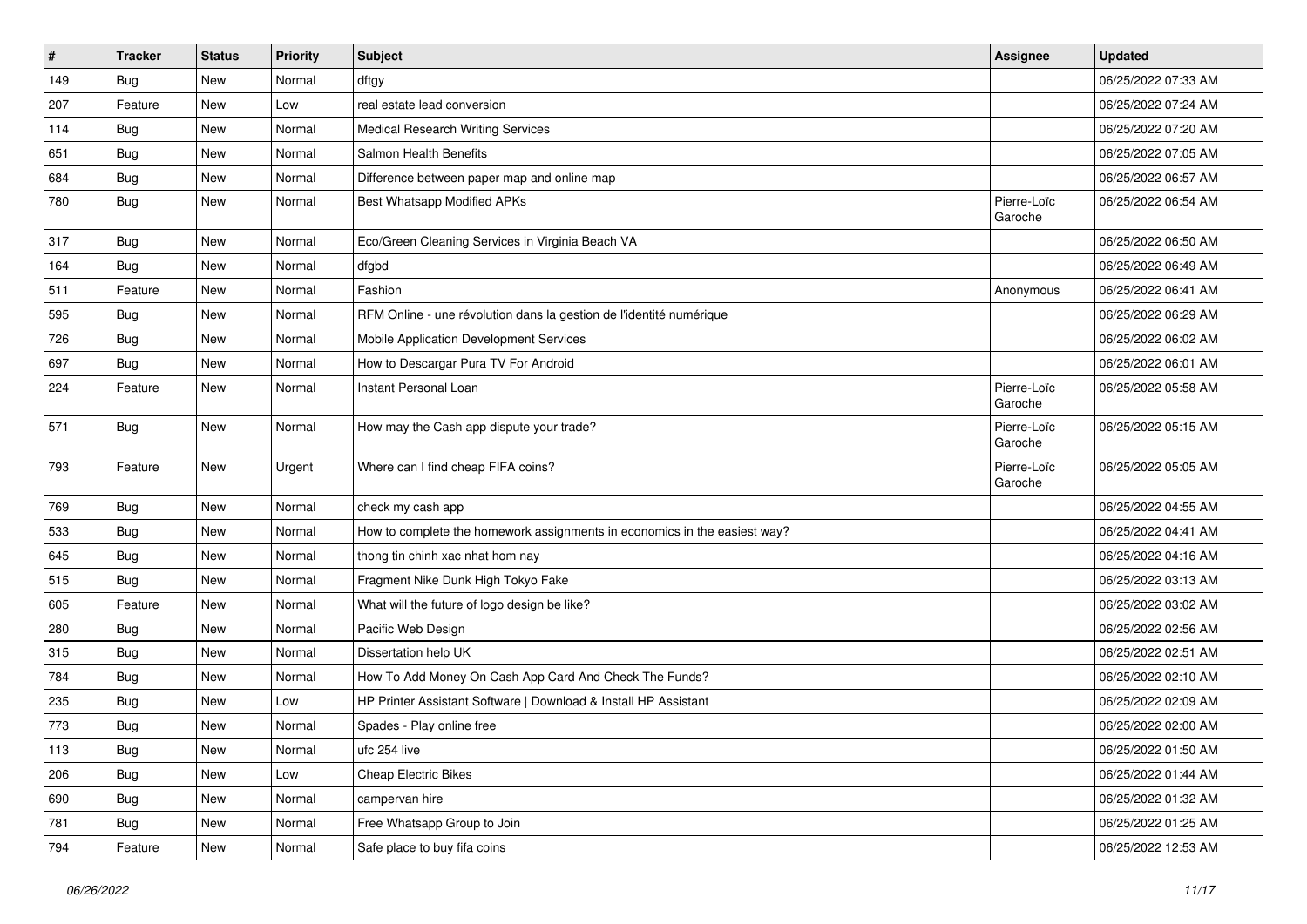| $\vert$ # | <b>Tracker</b> | <b>Status</b> | <b>Priority</b> | Subject                                                                   | <b>Assignee</b>        | <b>Updated</b>      |
|-----------|----------------|---------------|-----------------|---------------------------------------------------------------------------|------------------------|---------------------|
| 149       | <b>Bug</b>     | New           | Normal          | dftgy                                                                     |                        | 06/25/2022 07:33 AM |
| 207       | Feature        | New           | Low             | real estate lead conversion                                               |                        | 06/25/2022 07:24 AM |
| 114       | Bug            | New           | Normal          | <b>Medical Research Writing Services</b>                                  |                        | 06/25/2022 07:20 AM |
| 651       | <b>Bug</b>     | New           | Normal          | Salmon Health Benefits                                                    |                        | 06/25/2022 07:05 AM |
| 684       | Bug            | New           | Normal          | Difference between paper map and online map                               |                        | 06/25/2022 06:57 AM |
| 780       | <b>Bug</b>     | New           | Normal          | <b>Best Whatsapp Modified APKs</b>                                        | Pierre-Loïc<br>Garoche | 06/25/2022 06:54 AM |
| 317       | Bug            | New           | Normal          | Eco/Green Cleaning Services in Virginia Beach VA                          |                        | 06/25/2022 06:50 AM |
| 164       | <b>Bug</b>     | New           | Normal          | dfgbd                                                                     |                        | 06/25/2022 06:49 AM |
| 511       | Feature        | New           | Normal          | Fashion                                                                   | Anonymous              | 06/25/2022 06:41 AM |
| 595       | <b>Bug</b>     | New           | Normal          | RFM Online - une révolution dans la gestion de l'identité numérique       |                        | 06/25/2022 06:29 AM |
| 726       | Bug            | New           | Normal          | Mobile Application Development Services                                   |                        | 06/25/2022 06:02 AM |
| 697       | <b>Bug</b>     | New           | Normal          | How to Descargar Pura TV For Android                                      |                        | 06/25/2022 06:01 AM |
| 224       | Feature        | New           | Normal          | Instant Personal Loan                                                     | Pierre-Loïc<br>Garoche | 06/25/2022 05:58 AM |
| 571       | Bug            | New           | Normal          | How may the Cash app dispute your trade?                                  | Pierre-Loïc<br>Garoche | 06/25/2022 05:15 AM |
| 793       | Feature        | New           | Urgent          | Where can I find cheap FIFA coins?                                        | Pierre-Loïc<br>Garoche | 06/25/2022 05:05 AM |
| 769       | <b>Bug</b>     | New           | Normal          | check my cash app                                                         |                        | 06/25/2022 04:55 AM |
| 533       | Bug            | New           | Normal          | How to complete the homework assignments in economics in the easiest way? |                        | 06/25/2022 04:41 AM |
| 645       | <b>Bug</b>     | New           | Normal          | thong tin chinh xac nhat hom nay                                          |                        | 06/25/2022 04:16 AM |
| 515       | <b>Bug</b>     | New           | Normal          | Fragment Nike Dunk High Tokyo Fake                                        |                        | 06/25/2022 03:13 AM |
| 605       | Feature        | New           | Normal          | What will the future of logo design be like?                              |                        | 06/25/2022 03:02 AM |
| 280       | <b>Bug</b>     | New           | Normal          | Pacific Web Design                                                        |                        | 06/25/2022 02:56 AM |
| 315       | Bug            | New           | Normal          | Dissertation help UK                                                      |                        | 06/25/2022 02:51 AM |
| 784       | Bug            | New           | Normal          | How To Add Money On Cash App Card And Check The Funds?                    |                        | 06/25/2022 02:10 AM |
| 235       | <b>Bug</b>     | New           | Low             | HP Printer Assistant Software   Download & Install HP Assistant           |                        | 06/25/2022 02:09 AM |
| 773       | <b>Bug</b>     | New           | Normal          | Spades - Play online free                                                 |                        | 06/25/2022 02:00 AM |
| 113       | <b>Bug</b>     | New           | Normal          | ufc 254 live                                                              |                        | 06/25/2022 01:50 AM |
| 206       | <b>Bug</b>     | New           | Low             | <b>Cheap Electric Bikes</b>                                               |                        | 06/25/2022 01:44 AM |
| 690       | <b>Bug</b>     | New           | Normal          | campervan hire                                                            |                        | 06/25/2022 01:32 AM |
| 781       | Bug            | New           | Normal          | Free Whatsapp Group to Join                                               |                        | 06/25/2022 01:25 AM |
| 794       | Feature        | New           | Normal          | Safe place to buy fifa coins                                              |                        | 06/25/2022 12:53 AM |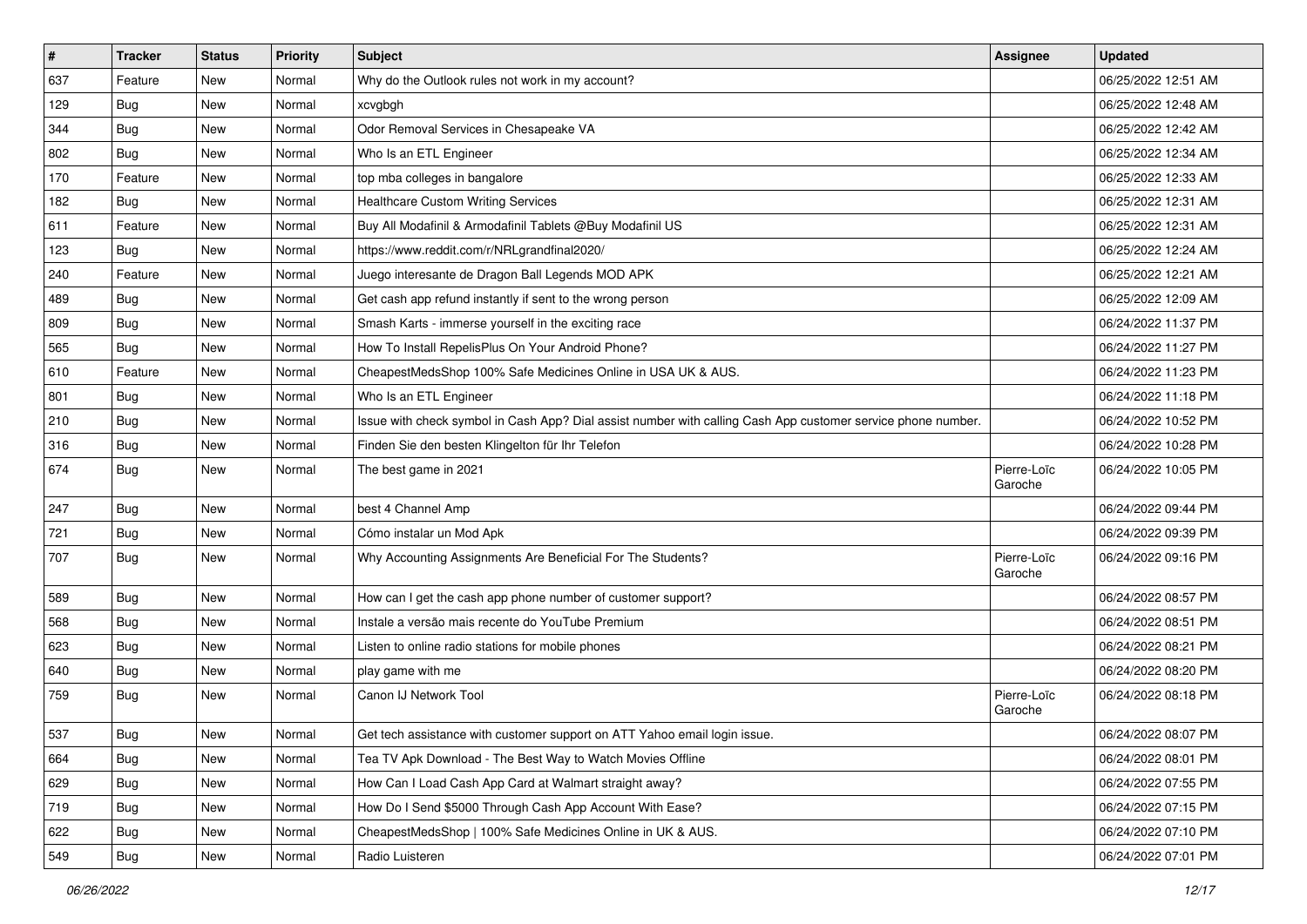| $\sharp$ | <b>Tracker</b> | <b>Status</b> | <b>Priority</b> | <b>Subject</b>                                                                                               | <b>Assignee</b>        | <b>Updated</b>      |
|----------|----------------|---------------|-----------------|--------------------------------------------------------------------------------------------------------------|------------------------|---------------------|
| 637      | Feature        | New           | Normal          | Why do the Outlook rules not work in my account?                                                             |                        | 06/25/2022 12:51 AM |
| 129      | <b>Bug</b>     | New           | Normal          | xcvgbgh                                                                                                      |                        | 06/25/2022 12:48 AM |
| 344      | Bug            | New           | Normal          | Odor Removal Services in Chesapeake VA                                                                       |                        | 06/25/2022 12:42 AM |
| 802      | Bug            | New           | Normal          | Who Is an ETL Engineer                                                                                       |                        | 06/25/2022 12:34 AM |
| 170      | Feature        | New           | Normal          | top mba colleges in bangalore                                                                                |                        | 06/25/2022 12:33 AM |
| 182      | <b>Bug</b>     | New           | Normal          | <b>Healthcare Custom Writing Services</b>                                                                    |                        | 06/25/2022 12:31 AM |
| 611      | Feature        | New           | Normal          | Buy All Modafinil & Armodafinil Tablets @Buy Modafinil US                                                    |                        | 06/25/2022 12:31 AM |
| 123      | <b>Bug</b>     | New           | Normal          | https://www.reddit.com/r/NRLgrandfinal2020/                                                                  |                        | 06/25/2022 12:24 AM |
| 240      | Feature        | New           | Normal          | Juego interesante de Dragon Ball Legends MOD APK                                                             |                        | 06/25/2022 12:21 AM |
| 489      | Bug            | New           | Normal          | Get cash app refund instantly if sent to the wrong person                                                    |                        | 06/25/2022 12:09 AM |
| 809      | <b>Bug</b>     | New           | Normal          | Smash Karts - immerse yourself in the exciting race                                                          |                        | 06/24/2022 11:37 PM |
| 565      | Bug            | New           | Normal          | How To Install RepelisPlus On Your Android Phone?                                                            |                        | 06/24/2022 11:27 PM |
| 610      | Feature        | New           | Normal          | CheapestMedsShop 100% Safe Medicines Online in USA UK & AUS.                                                 |                        | 06/24/2022 11:23 PM |
| 801      | Bug            | New           | Normal          | Who Is an ETL Engineer                                                                                       |                        | 06/24/2022 11:18 PM |
| 210      | Bug            | New           | Normal          | Issue with check symbol in Cash App? Dial assist number with calling Cash App customer service phone number. |                        | 06/24/2022 10:52 PM |
| 316      | Bug            | New           | Normal          | Finden Sie den besten Klingelton für Ihr Telefon                                                             |                        | 06/24/2022 10:28 PM |
| 674      | <b>Bug</b>     | New           | Normal          | The best game in 2021                                                                                        | Pierre-Loïc<br>Garoche | 06/24/2022 10:05 PM |
| 247      | <b>Bug</b>     | New           | Normal          | best 4 Channel Amp                                                                                           |                        | 06/24/2022 09:44 PM |
| 721      | Bug            | New           | Normal          | Cómo instalar un Mod Apk                                                                                     |                        | 06/24/2022 09:39 PM |
| 707      | <b>Bug</b>     | <b>New</b>    | Normal          | Why Accounting Assignments Are Beneficial For The Students?                                                  | Pierre-Loïc<br>Garoche | 06/24/2022 09:16 PM |
| 589      | Bug            | New           | Normal          | How can I get the cash app phone number of customer support?                                                 |                        | 06/24/2022 08:57 PM |
| 568      | <b>Bug</b>     | New           | Normal          | Instale a versão mais recente do YouTube Premium                                                             |                        | 06/24/2022 08:51 PM |
| 623      | <b>Bug</b>     | New           | Normal          | Listen to online radio stations for mobile phones                                                            |                        | 06/24/2022 08:21 PM |
| 640      | Bug            | New           | Normal          | play game with me                                                                                            |                        | 06/24/2022 08:20 PM |
| 759      | <b>Bug</b>     | New           | Normal          | Canon IJ Network Tool                                                                                        | Pierre-Loïc<br>Garoche | 06/24/2022 08:18 PM |
| 537      | <b>Bug</b>     | New           | Normal          | Get tech assistance with customer support on ATT Yahoo email login issue.                                    |                        | 06/24/2022 08:07 PM |
| 664      | <b>Bug</b>     | New           | Normal          | Tea TV Apk Download - The Best Way to Watch Movies Offline                                                   |                        | 06/24/2022 08:01 PM |
| 629      | <b>Bug</b>     | New           | Normal          | How Can I Load Cash App Card at Walmart straight away?                                                       |                        | 06/24/2022 07:55 PM |
| 719      | <b>Bug</b>     | New           | Normal          | How Do I Send \$5000 Through Cash App Account With Ease?                                                     |                        | 06/24/2022 07:15 PM |
| 622      | Bug            | New           | Normal          | CheapestMedsShop   100% Safe Medicines Online in UK & AUS.                                                   |                        | 06/24/2022 07:10 PM |
| 549      | <b>Bug</b>     | New           | Normal          | Radio Luisteren                                                                                              |                        | 06/24/2022 07:01 PM |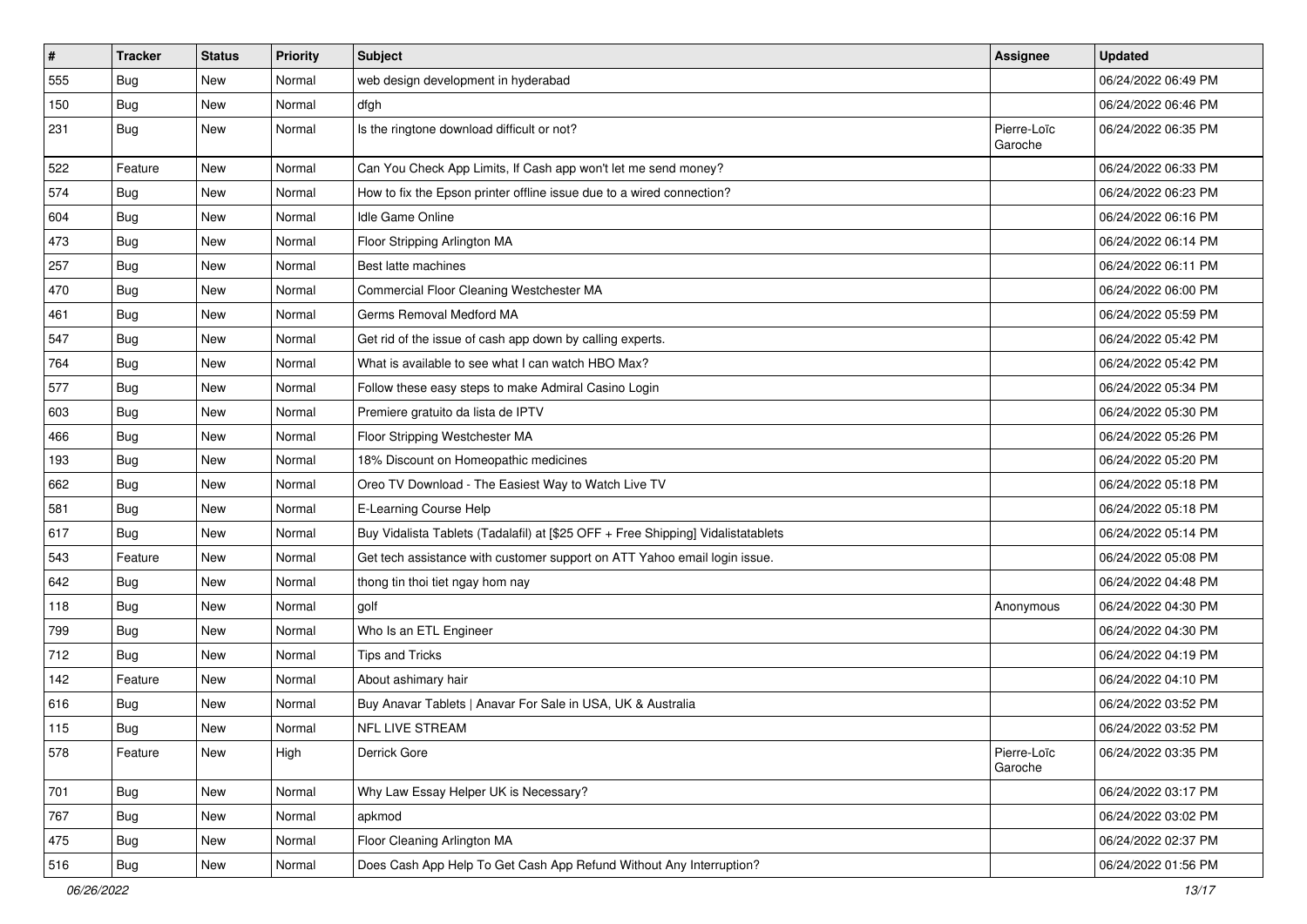| #   | <b>Tracker</b> | <b>Status</b> | <b>Priority</b> | Subject                                                                          | <b>Assignee</b>        | <b>Updated</b>      |
|-----|----------------|---------------|-----------------|----------------------------------------------------------------------------------|------------------------|---------------------|
| 555 | <b>Bug</b>     | New           | Normal          | web design development in hyderabad                                              |                        | 06/24/2022 06:49 PM |
| 150 | Bug            | New           | Normal          | dfgh                                                                             |                        | 06/24/2022 06:46 PM |
| 231 | Bug            | New           | Normal          | Is the ringtone download difficult or not?                                       | Pierre-Loïc<br>Garoche | 06/24/2022 06:35 PM |
| 522 | Feature        | <b>New</b>    | Normal          | Can You Check App Limits, If Cash app won't let me send money?                   |                        | 06/24/2022 06:33 PM |
| 574 | Bug            | New           | Normal          | How to fix the Epson printer offline issue due to a wired connection?            |                        | 06/24/2022 06:23 PM |
| 604 | <b>Bug</b>     | New           | Normal          | Idle Game Online                                                                 |                        | 06/24/2022 06:16 PM |
| 473 | <b>Bug</b>     | New           | Normal          | Floor Stripping Arlington MA                                                     |                        | 06/24/2022 06:14 PM |
| 257 | <b>Bug</b>     | New           | Normal          | Best latte machines                                                              |                        | 06/24/2022 06:11 PM |
| 470 | <b>Bug</b>     | New           | Normal          | Commercial Floor Cleaning Westchester MA                                         |                        | 06/24/2022 06:00 PM |
| 461 | <b>Bug</b>     | New           | Normal          | Germs Removal Medford MA                                                         |                        | 06/24/2022 05:59 PM |
| 547 | <b>Bug</b>     | New           | Normal          | Get rid of the issue of cash app down by calling experts.                        |                        | 06/24/2022 05:42 PM |
| 764 | Bug            | New           | Normal          | What is available to see what I can watch HBO Max?                               |                        | 06/24/2022 05:42 PM |
| 577 | <b>Bug</b>     | New           | Normal          | Follow these easy steps to make Admiral Casino Login                             |                        | 06/24/2022 05:34 PM |
| 603 | Bug            | New           | Normal          | Premiere gratuito da lista de IPTV                                               |                        | 06/24/2022 05:30 PM |
| 466 | Bug            | New           | Normal          | Floor Stripping Westchester MA                                                   |                        | 06/24/2022 05:26 PM |
| 193 | <b>Bug</b>     | New           | Normal          | 18% Discount on Homeopathic medicines                                            |                        | 06/24/2022 05:20 PM |
| 662 | <b>Bug</b>     | New           | Normal          | Oreo TV Download - The Easiest Way to Watch Live TV                              |                        | 06/24/2022 05:18 PM |
| 581 | <b>Bug</b>     | New           | Normal          | E-Learning Course Help                                                           |                        | 06/24/2022 05:18 PM |
| 617 | <b>Bug</b>     | New           | Normal          | Buy Vidalista Tablets (Tadalafil) at [\$25 OFF + Free Shipping] Vidalistatablets |                        | 06/24/2022 05:14 PM |
| 543 | Feature        | New           | Normal          | Get tech assistance with customer support on ATT Yahoo email login issue.        |                        | 06/24/2022 05:08 PM |
| 642 | Bug            | New           | Normal          | thong tin thoi tiet ngay hom nay                                                 |                        | 06/24/2022 04:48 PM |
| 118 | Bug            | New           | Normal          | qolf                                                                             | Anonymous              | 06/24/2022 04:30 PM |
| 799 | <b>Bug</b>     | New           | Normal          | Who Is an ETL Engineer                                                           |                        | 06/24/2022 04:30 PM |
| 712 | <b>Bug</b>     | New           | Normal          | Tips and Tricks                                                                  |                        | 06/24/2022 04:19 PM |
| 142 | Feature        | New           | Normal          | About ashimary hair                                                              |                        | 06/24/2022 04:10 PM |
| 616 | <b>Bug</b>     | New           | Normal          | Buy Anavar Tablets   Anavar For Sale in USA, UK & Australia                      |                        | 06/24/2022 03:52 PM |
| 115 | <b>Bug</b>     | New           | Normal          | NFL LIVE STREAM                                                                  |                        | 06/24/2022 03:52 PM |
| 578 | Feature        | New           | High            | Derrick Gore                                                                     | Pierre-Loïc<br>Garoche | 06/24/2022 03:35 PM |
| 701 | <b>Bug</b>     | New           | Normal          | Why Law Essay Helper UK is Necessary?                                            |                        | 06/24/2022 03:17 PM |
| 767 | <b>Bug</b>     | New           | Normal          | apkmod                                                                           |                        | 06/24/2022 03:02 PM |
| 475 | <b>Bug</b>     | New           | Normal          | Floor Cleaning Arlington MA                                                      |                        | 06/24/2022 02:37 PM |
| 516 | <b>Bug</b>     | New           | Normal          | Does Cash App Help To Get Cash App Refund Without Any Interruption?              |                        | 06/24/2022 01:56 PM |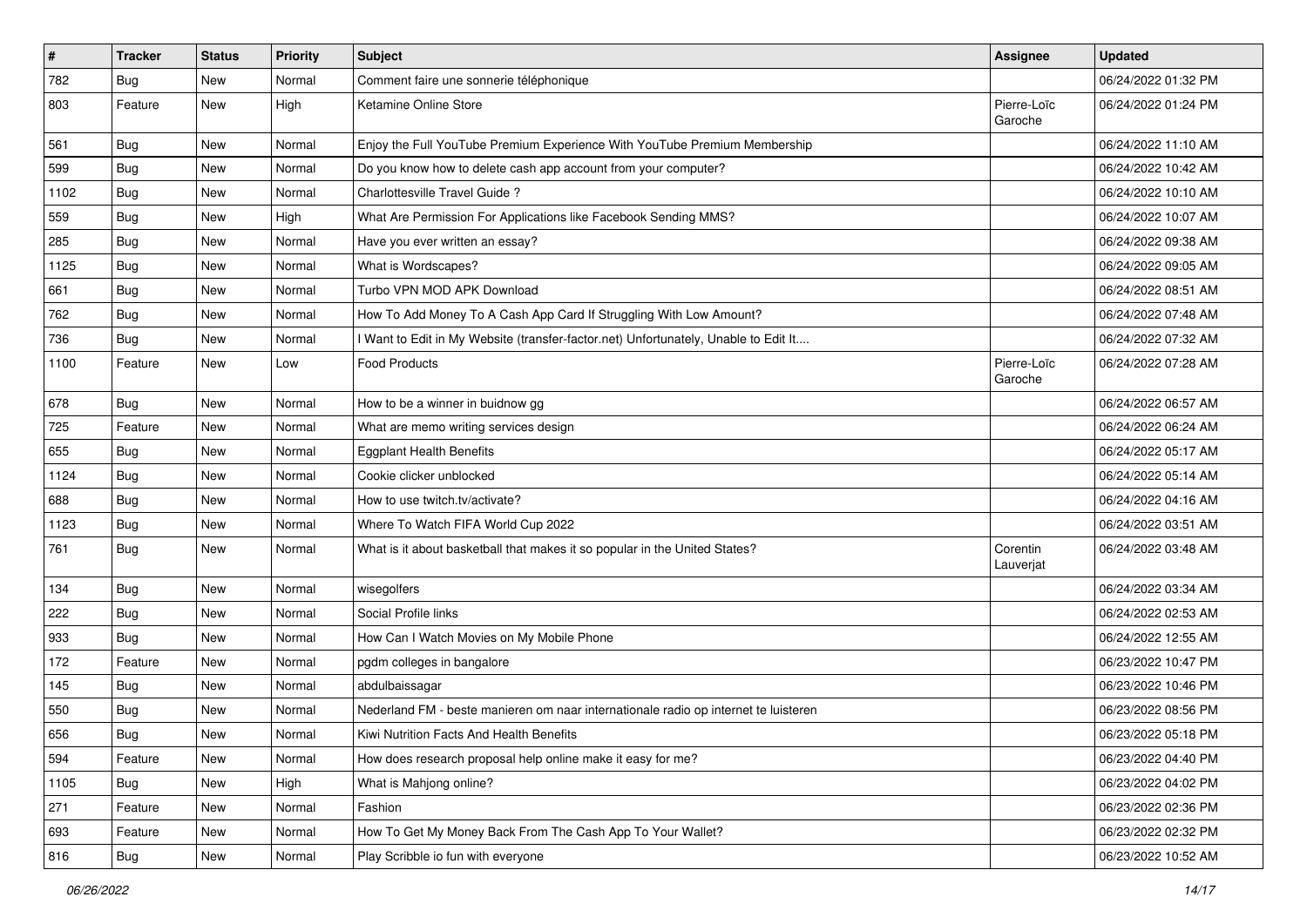| $\vert$ # | <b>Tracker</b> | <b>Status</b> | <b>Priority</b> | <b>Subject</b>                                                                      | <b>Assignee</b>        | <b>Updated</b>      |
|-----------|----------------|---------------|-----------------|-------------------------------------------------------------------------------------|------------------------|---------------------|
| 782       | <b>Bug</b>     | New           | Normal          | Comment faire une sonnerie téléphonique                                             |                        | 06/24/2022 01:32 PM |
| 803       | Feature        | New           | High            | Ketamine Online Store                                                               | Pierre-Loïc<br>Garoche | 06/24/2022 01:24 PM |
| 561       | <b>Bug</b>     | <b>New</b>    | Normal          | Enjoy the Full YouTube Premium Experience With YouTube Premium Membership           |                        | 06/24/2022 11:10 AM |
| 599       | Bug            | New           | Normal          | Do you know how to delete cash app account from your computer?                      |                        | 06/24/2022 10:42 AM |
| 1102      | <b>Bug</b>     | New           | Normal          | Charlottesville Travel Guide?                                                       |                        | 06/24/2022 10:10 AM |
| 559       | Bug            | New           | High            | What Are Permission For Applications like Facebook Sending MMS?                     |                        | 06/24/2022 10:07 AM |
| 285       | Bug            | New           | Normal          | Have you ever written an essay?                                                     |                        | 06/24/2022 09:38 AM |
| 1125      | Bug            | New           | Normal          | What is Wordscapes?                                                                 |                        | 06/24/2022 09:05 AM |
| 661       | Bug            | <b>New</b>    | Normal          | Turbo VPN MOD APK Download                                                          |                        | 06/24/2022 08:51 AM |
| 762       | Bug            | New           | Normal          | How To Add Money To A Cash App Card If Struggling With Low Amount?                  |                        | 06/24/2022 07:48 AM |
| 736       | <b>Bug</b>     | New           | Normal          | I Want to Edit in My Website (transfer-factor.net) Unfortunately, Unable to Edit It |                        | 06/24/2022 07:32 AM |
| 1100      | Feature        | New           | Low             | <b>Food Products</b>                                                                | Pierre-Loïc<br>Garoche | 06/24/2022 07:28 AM |
| 678       | Bug            | New           | Normal          | How to be a winner in buidnow gg                                                    |                        | 06/24/2022 06:57 AM |
| 725       | Feature        | New           | Normal          | What are memo writing services design                                               |                        | 06/24/2022 06:24 AM |
| 655       | <b>Bug</b>     | New           | Normal          | <b>Eggplant Health Benefits</b>                                                     |                        | 06/24/2022 05:17 AM |
| 1124      | <b>Bug</b>     | New           | Normal          | Cookie clicker unblocked                                                            |                        | 06/24/2022 05:14 AM |
| 688       | Bug            | New           | Normal          | How to use twitch.tv/activate?                                                      |                        | 06/24/2022 04:16 AM |
| 1123      | <b>Bug</b>     | New           | Normal          | Where To Watch FIFA World Cup 2022                                                  |                        | 06/24/2022 03:51 AM |
| 761       | Bug            | New           | Normal          | What is it about basketball that makes it so popular in the United States?          | Corentin<br>Lauverjat  | 06/24/2022 03:48 AM |
| 134       | <b>Bug</b>     | New           | Normal          | wisegolfers                                                                         |                        | 06/24/2022 03:34 AM |
| 222       | Bug            | New           | Normal          | Social Profile links                                                                |                        | 06/24/2022 02:53 AM |
| 933       | <b>Bug</b>     | New           | Normal          | How Can I Watch Movies on My Mobile Phone                                           |                        | 06/24/2022 12:55 AM |
| 172       | Feature        | New           | Normal          | pgdm colleges in bangalore                                                          |                        | 06/23/2022 10:47 PM |
| 145       | <b>Bug</b>     | New           | Normal          | abdulbaissagar                                                                      |                        | 06/23/2022 10:46 PM |
| 550       | <b>Bug</b>     | New           | Normal          | Nederland FM - beste manieren om naar internationale radio op internet te luisteren |                        | 06/23/2022 08:56 PM |
| 656       | <b>Bug</b>     | New           | Normal          | Kiwi Nutrition Facts And Health Benefits                                            |                        | 06/23/2022 05:18 PM |
| 594       | Feature        | New           | Normal          | How does research proposal help online make it easy for me?                         |                        | 06/23/2022 04:40 PM |
| 1105      | Bug            | New           | High            | What is Mahjong online?                                                             |                        | 06/23/2022 04:02 PM |
| 271       | Feature        | New           | Normal          | Fashion                                                                             |                        | 06/23/2022 02:36 PM |
| 693       | Feature        | New           | Normal          | How To Get My Money Back From The Cash App To Your Wallet?                          |                        | 06/23/2022 02:32 PM |
| 816       | <b>Bug</b>     | New           | Normal          | Play Scribble io fun with everyone                                                  |                        | 06/23/2022 10:52 AM |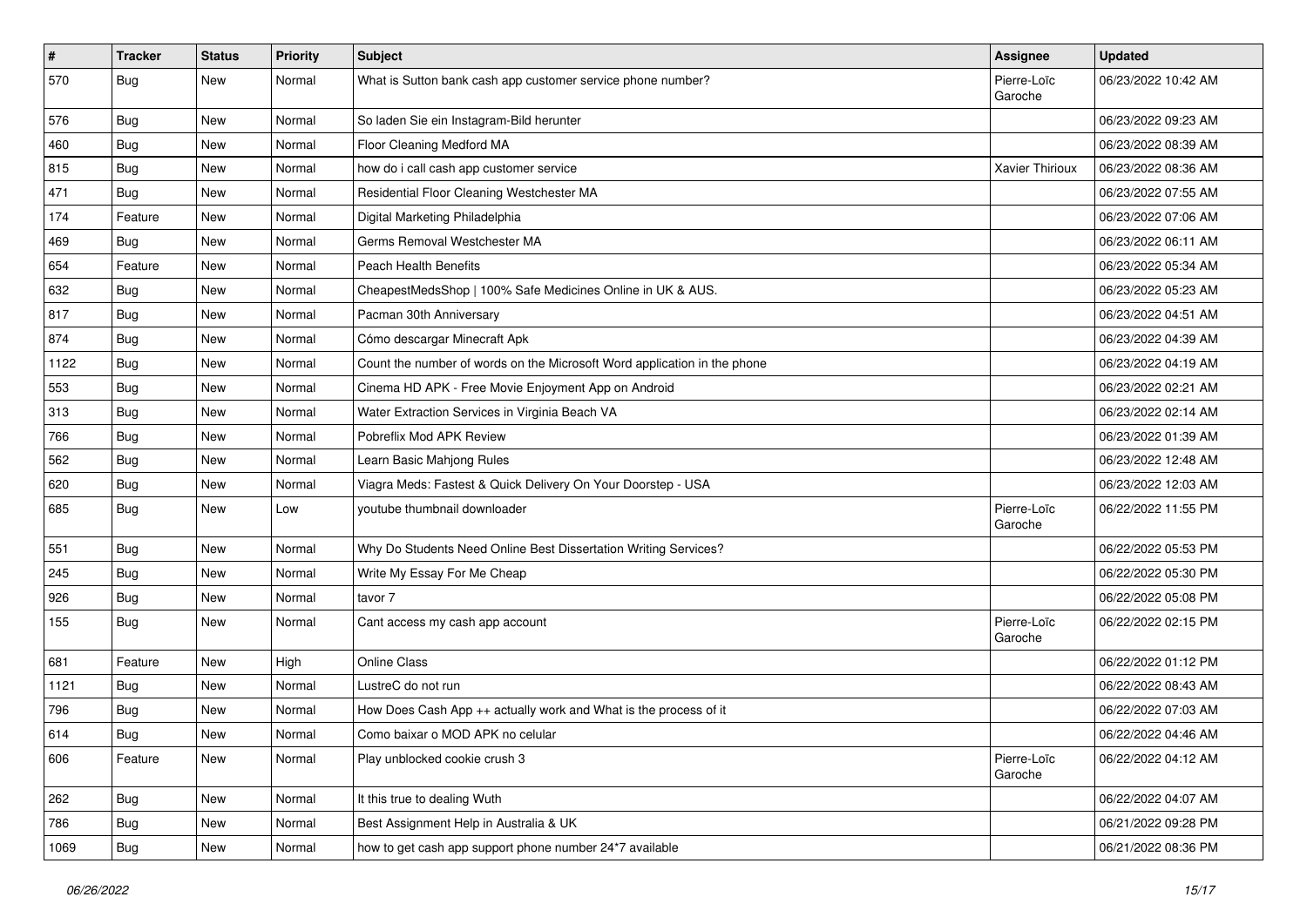| $\vert$ # | Tracker    | <b>Status</b> | <b>Priority</b> | <b>Subject</b>                                                           | Assignee               | <b>Updated</b>      |
|-----------|------------|---------------|-----------------|--------------------------------------------------------------------------|------------------------|---------------------|
| 570       | <b>Bug</b> | New           | Normal          | What is Sutton bank cash app customer service phone number?              | Pierre-Loïc<br>Garoche | 06/23/2022 10:42 AM |
| 576       | Bug        | New           | Normal          | So laden Sie ein Instagram-Bild herunter                                 |                        | 06/23/2022 09:23 AM |
| 460       | <b>Bug</b> | New           | Normal          | Floor Cleaning Medford MA                                                |                        | 06/23/2022 08:39 AM |
| 815       | Bug        | New           | Normal          | how do i call cash app customer service                                  | Xavier Thirioux        | 06/23/2022 08:36 AM |
| 471       | <b>Bug</b> | New           | Normal          | Residential Floor Cleaning Westchester MA                                |                        | 06/23/2022 07:55 AM |
| 174       | Feature    | New           | Normal          | Digital Marketing Philadelphia                                           |                        | 06/23/2022 07:06 AM |
| 469       | <b>Bug</b> | New           | Normal          | Germs Removal Westchester MA                                             |                        | 06/23/2022 06:11 AM |
| 654       | Feature    | New           | Normal          | Peach Health Benefits                                                    |                        | 06/23/2022 05:34 AM |
| 632       | Bug        | New           | Normal          | CheapestMedsShop   100% Safe Medicines Online in UK & AUS.               |                        | 06/23/2022 05:23 AM |
| 817       | Bug        | New           | Normal          | Pacman 30th Anniversary                                                  |                        | 06/23/2022 04:51 AM |
| 874       | <b>Bug</b> | New           | Normal          | Cómo descargar Minecraft Apk                                             |                        | 06/23/2022 04:39 AM |
| 1122      | <b>Bug</b> | New           | Normal          | Count the number of words on the Microsoft Word application in the phone |                        | 06/23/2022 04:19 AM |
| 553       | <b>Bug</b> | New           | Normal          | Cinema HD APK - Free Movie Enjoyment App on Android                      |                        | 06/23/2022 02:21 AM |
| 313       | Bug        | New           | Normal          | Water Extraction Services in Virginia Beach VA                           |                        | 06/23/2022 02:14 AM |
| 766       | Bug        | New           | Normal          | Pobreflix Mod APK Review                                                 |                        | 06/23/2022 01:39 AM |
| 562       | <b>Bug</b> | New           | Normal          | Learn Basic Mahjong Rules                                                |                        | 06/23/2022 12:48 AM |
| 620       | Bug        | New           | Normal          | Viagra Meds: Fastest & Quick Delivery On Your Doorstep - USA             |                        | 06/23/2022 12:03 AM |
| 685       | <b>Bug</b> | New           | Low             | voutube thumbnail downloader                                             | Pierre-Loïc<br>Garoche | 06/22/2022 11:55 PM |
| 551       | <b>Bug</b> | New           | Normal          | Why Do Students Need Online Best Dissertation Writing Services?          |                        | 06/22/2022 05:53 PM |
| 245       | <b>Bug</b> | New           | Normal          | Write My Essay For Me Cheap                                              |                        | 06/22/2022 05:30 PM |
| 926       | Bug        | New           | Normal          | tavor 7                                                                  |                        | 06/22/2022 05:08 PM |
| 155       | Bug        | New           | Normal          | Cant access my cash app account                                          | Pierre-Loïc<br>Garoche | 06/22/2022 02:15 PM |
| 681       | Feature    | New           | High            | <b>Online Class</b>                                                      |                        | 06/22/2022 01:12 PM |
| 1121      | Bug        | New           | Normal          | LustreC do not run                                                       |                        | 06/22/2022 08:43 AM |
| 796       | <b>Bug</b> | New           | Normal          | How Does Cash App ++ actually work and What is the process of it         |                        | 06/22/2022 07:03 AM |
| 614       | Bug        | New           | Normal          | Como baixar o MOD APK no celular                                         |                        | 06/22/2022 04:46 AM |
| 606       | Feature    | New           | Normal          | Play unblocked cookie crush 3                                            | Pierre-Loïc<br>Garoche | 06/22/2022 04:12 AM |
| 262       | Bug        | New           | Normal          | It this true to dealing Wuth                                             |                        | 06/22/2022 04:07 AM |
| 786       | <b>Bug</b> | New           | Normal          | Best Assignment Help in Australia & UK                                   |                        | 06/21/2022 09:28 PM |
| 1069      | <b>Bug</b> | New           | Normal          | how to get cash app support phone number 24*7 available                  |                        | 06/21/2022 08:36 PM |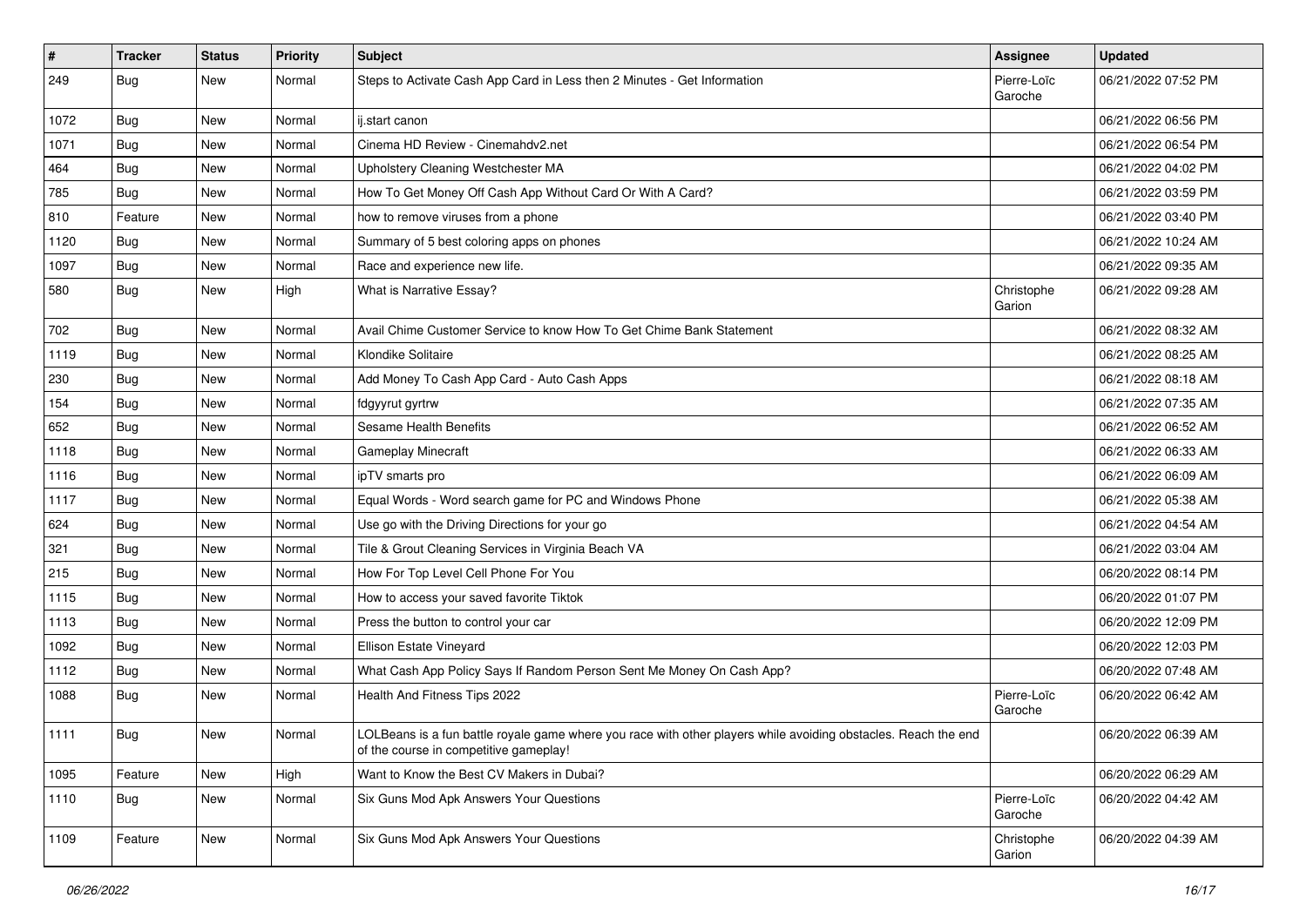| $\vert$ # | <b>Tracker</b> | <b>Status</b> | <b>Priority</b> | Subject                                                                                                                                                  | <b>Assignee</b>        | <b>Updated</b>      |
|-----------|----------------|---------------|-----------------|----------------------------------------------------------------------------------------------------------------------------------------------------------|------------------------|---------------------|
| 249       | <b>Bug</b>     | New           | Normal          | Steps to Activate Cash App Card in Less then 2 Minutes - Get Information                                                                                 | Pierre-Loïc<br>Garoche | 06/21/2022 07:52 PM |
| 1072      | Bug            | New           | Normal          | ij.start canon                                                                                                                                           |                        | 06/21/2022 06:56 PM |
| 1071      | Bug            | New           | Normal          | Cinema HD Review - Cinemahdv2.net                                                                                                                        |                        | 06/21/2022 06:54 PM |
| 464       | Bug            | New           | Normal          | Upholstery Cleaning Westchester MA                                                                                                                       |                        | 06/21/2022 04:02 PM |
| 785       | Bug            | New           | Normal          | How To Get Money Off Cash App Without Card Or With A Card?                                                                                               |                        | 06/21/2022 03:59 PM |
| 810       | Feature        | New           | Normal          | how to remove viruses from a phone                                                                                                                       |                        | 06/21/2022 03:40 PM |
| 1120      | Bug            | New           | Normal          | Summary of 5 best coloring apps on phones                                                                                                                |                        | 06/21/2022 10:24 AM |
| 1097      | Bug            | New           | Normal          | Race and experience new life.                                                                                                                            |                        | 06/21/2022 09:35 AM |
| 580       | Bug            | New           | High            | What is Narrative Essay?                                                                                                                                 | Christophe<br>Garion   | 06/21/2022 09:28 AM |
| 702       | Bug            | New           | Normal          | Avail Chime Customer Service to know How To Get Chime Bank Statement                                                                                     |                        | 06/21/2022 08:32 AM |
| 1119      | <b>Bug</b>     | New           | Normal          | Klondike Solitaire                                                                                                                                       |                        | 06/21/2022 08:25 AM |
| 230       | <b>Bug</b>     | New           | Normal          | Add Money To Cash App Card - Auto Cash Apps                                                                                                              |                        | 06/21/2022 08:18 AM |
| 154       | <b>Bug</b>     | New           | Normal          | fdgyyrut gyrtrw                                                                                                                                          |                        | 06/21/2022 07:35 AM |
| 652       | <b>Bug</b>     | New           | Normal          | Sesame Health Benefits                                                                                                                                   |                        | 06/21/2022 06:52 AM |
| 1118      | Bug            | New           | Normal          | Gameplay Minecraft                                                                                                                                       |                        | 06/21/2022 06:33 AM |
| 1116      | <b>Bug</b>     | New           | Normal          | ipTV smarts pro                                                                                                                                          |                        | 06/21/2022 06:09 AM |
| 1117      | <b>Bug</b>     | New           | Normal          | Equal Words - Word search game for PC and Windows Phone                                                                                                  |                        | 06/21/2022 05:38 AM |
| 624       | <b>Bug</b>     | New           | Normal          | Use go with the Driving Directions for your go                                                                                                           |                        | 06/21/2022 04:54 AM |
| 321       | Bug            | New           | Normal          | Tile & Grout Cleaning Services in Virginia Beach VA                                                                                                      |                        | 06/21/2022 03:04 AM |
| 215       | <b>Bug</b>     | New           | Normal          | How For Top Level Cell Phone For You                                                                                                                     |                        | 06/20/2022 08:14 PM |
| 1115      | Bug            | New           | Normal          | How to access your saved favorite Tiktok                                                                                                                 |                        | 06/20/2022 01:07 PM |
| 1113      | Bug            | New           | Normal          | Press the button to control your car                                                                                                                     |                        | 06/20/2022 12:09 PM |
| 1092      | <b>Bug</b>     | New           | Normal          | Ellison Estate Vineyard                                                                                                                                  |                        | 06/20/2022 12:03 PM |
| 1112      | Bug            | New           | Normal          | What Cash App Policy Says If Random Person Sent Me Money On Cash App?                                                                                    |                        | 06/20/2022 07:48 AM |
| 1088      | <b>Bug</b>     | New           | Normal          | Health And Fitness Tips 2022                                                                                                                             | Pierre-Loïc<br>Garoche | 06/20/2022 06:42 AM |
| 1111      | Bug            | New           | Normal          | LOLBeans is a fun battle royale game where you race with other players while avoiding obstacles. Reach the end<br>of the course in competitive gameplay! |                        | 06/20/2022 06:39 AM |
| 1095      | Feature        | New           | High            | Want to Know the Best CV Makers in Dubai?                                                                                                                |                        | 06/20/2022 06:29 AM |
| 1110      | Bug            | New           | Normal          | Six Guns Mod Apk Answers Your Questions                                                                                                                  | Pierre-Loïc<br>Garoche | 06/20/2022 04:42 AM |
| 1109      | Feature        | New           | Normal          | Six Guns Mod Apk Answers Your Questions                                                                                                                  | Christophe<br>Garion   | 06/20/2022 04:39 AM |